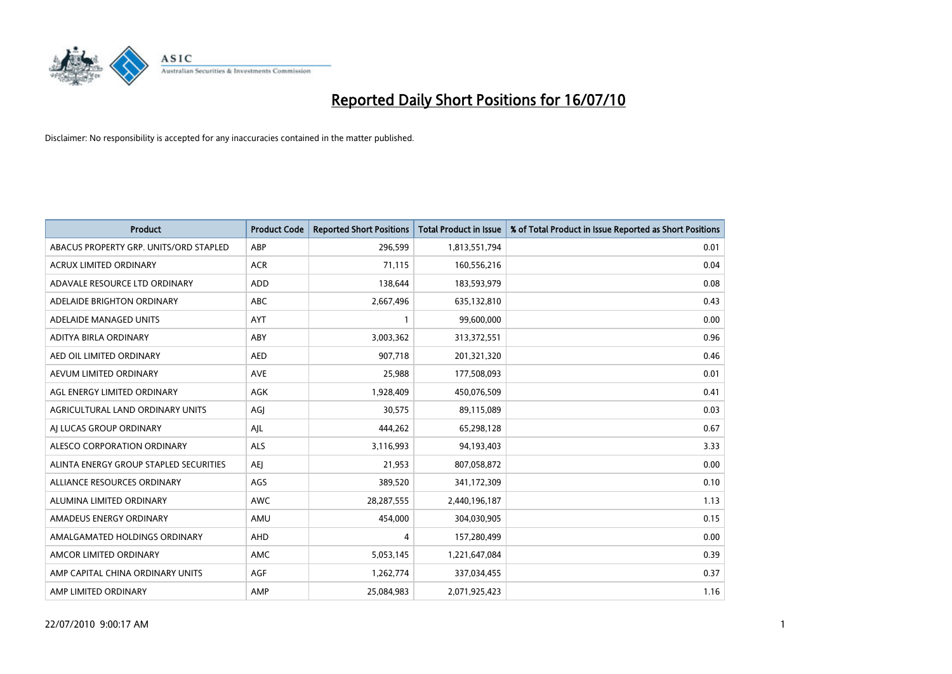

| <b>Product</b>                         | <b>Product Code</b> | <b>Reported Short Positions</b> | <b>Total Product in Issue</b> | % of Total Product in Issue Reported as Short Positions |
|----------------------------------------|---------------------|---------------------------------|-------------------------------|---------------------------------------------------------|
| ABACUS PROPERTY GRP. UNITS/ORD STAPLED | ABP                 | 296,599                         | 1,813,551,794                 | 0.01                                                    |
| <b>ACRUX LIMITED ORDINARY</b>          | <b>ACR</b>          | 71,115                          | 160,556,216                   | 0.04                                                    |
| ADAVALE RESOURCE LTD ORDINARY          | ADD                 | 138,644                         | 183,593,979                   | 0.08                                                    |
| ADELAIDE BRIGHTON ORDINARY             | <b>ABC</b>          | 2,667,496                       | 635,132,810                   | 0.43                                                    |
| ADELAIDE MANAGED UNITS                 | <b>AYT</b>          |                                 | 99,600,000                    | 0.00                                                    |
| ADITYA BIRLA ORDINARY                  | ABY                 | 3,003,362                       | 313,372,551                   | 0.96                                                    |
| AED OIL LIMITED ORDINARY               | <b>AED</b>          | 907.718                         | 201,321,320                   | 0.46                                                    |
| AEVUM LIMITED ORDINARY                 | <b>AVE</b>          | 25,988                          | 177,508,093                   | 0.01                                                    |
| AGL ENERGY LIMITED ORDINARY            | <b>AGK</b>          | 1,928,409                       | 450,076,509                   | 0.41                                                    |
| AGRICULTURAL LAND ORDINARY UNITS       | AGI                 | 30.575                          | 89,115,089                    | 0.03                                                    |
| AI LUCAS GROUP ORDINARY                | AJL                 | 444,262                         | 65,298,128                    | 0.67                                                    |
| ALESCO CORPORATION ORDINARY            | <b>ALS</b>          | 3,116,993                       | 94,193,403                    | 3.33                                                    |
| ALINTA ENERGY GROUP STAPLED SECURITIES | <b>AEI</b>          | 21.953                          | 807,058,872                   | 0.00                                                    |
| ALLIANCE RESOURCES ORDINARY            | AGS                 | 389,520                         | 341,172,309                   | 0.10                                                    |
| ALUMINA LIMITED ORDINARY               | <b>AWC</b>          | 28,287,555                      | 2,440,196,187                 | 1.13                                                    |
| AMADEUS ENERGY ORDINARY                | AMU                 | 454,000                         | 304,030,905                   | 0.15                                                    |
| AMALGAMATED HOLDINGS ORDINARY          | AHD                 | 4                               | 157,280,499                   | 0.00                                                    |
| AMCOR LIMITED ORDINARY                 | AMC                 | 5,053,145                       | 1,221,647,084                 | 0.39                                                    |
| AMP CAPITAL CHINA ORDINARY UNITS       | AGF                 | 1,262,774                       | 337,034,455                   | 0.37                                                    |
| AMP LIMITED ORDINARY                   | AMP                 | 25,084,983                      | 2,071,925,423                 | 1.16                                                    |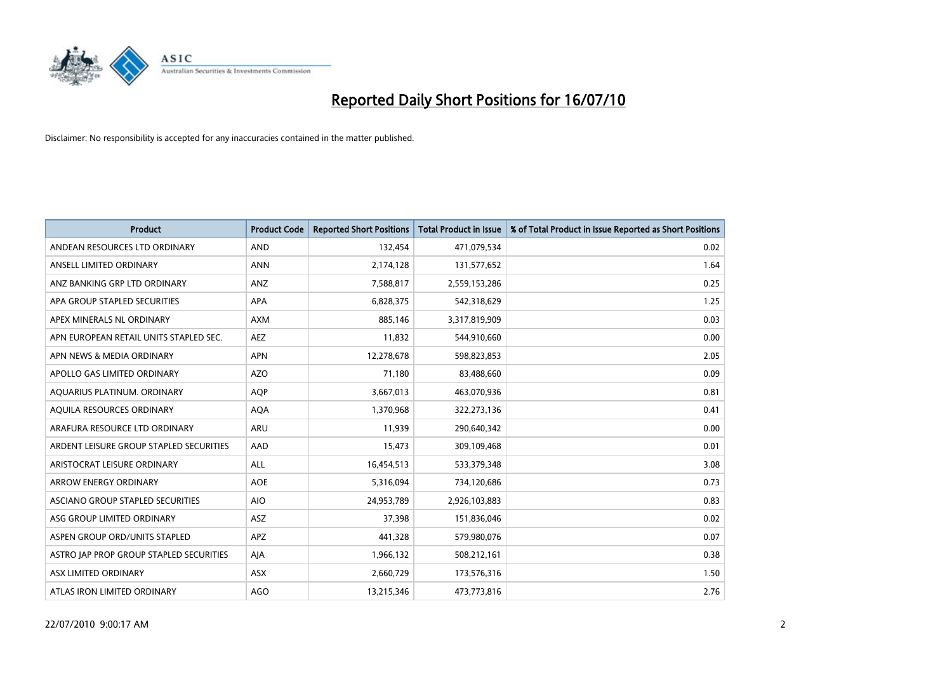

| <b>Product</b>                          | <b>Product Code</b> | <b>Reported Short Positions</b> | <b>Total Product in Issue</b> | % of Total Product in Issue Reported as Short Positions |
|-----------------------------------------|---------------------|---------------------------------|-------------------------------|---------------------------------------------------------|
| ANDEAN RESOURCES LTD ORDINARY           | <b>AND</b>          | 132,454                         | 471,079,534                   | 0.02                                                    |
| ANSELL LIMITED ORDINARY                 | <b>ANN</b>          | 2,174,128                       | 131,577,652                   | 1.64                                                    |
| ANZ BANKING GRP LTD ORDINARY            | <b>ANZ</b>          | 7,588,817                       | 2,559,153,286                 | 0.25                                                    |
| APA GROUP STAPLED SECURITIES            | APA                 | 6,828,375                       | 542,318,629                   | 1.25                                                    |
| APEX MINERALS NL ORDINARY               | <b>AXM</b>          | 885.146                         | 3,317,819,909                 | 0.03                                                    |
| APN EUROPEAN RETAIL UNITS STAPLED SEC.  | <b>AEZ</b>          | 11,832                          | 544,910,660                   | 0.00                                                    |
| APN NEWS & MEDIA ORDINARY               | <b>APN</b>          | 12,278,678                      | 598,823,853                   | 2.05                                                    |
| APOLLO GAS LIMITED ORDINARY             | <b>AZO</b>          | 71,180                          | 83,488,660                    | 0.09                                                    |
| AQUARIUS PLATINUM. ORDINARY             | <b>AQP</b>          | 3,667,013                       | 463,070,936                   | 0.81                                                    |
| AOUILA RESOURCES ORDINARY               | <b>AQA</b>          | 1,370,968                       | 322,273,136                   | 0.41                                                    |
| ARAFURA RESOURCE LTD ORDINARY           | ARU                 | 11,939                          | 290,640,342                   | 0.00                                                    |
| ARDENT LEISURE GROUP STAPLED SECURITIES | AAD                 | 15,473                          | 309,109,468                   | 0.01                                                    |
| ARISTOCRAT LEISURE ORDINARY             | <b>ALL</b>          | 16,454,513                      | 533,379,348                   | 3.08                                                    |
| <b>ARROW ENERGY ORDINARY</b>            | <b>AOE</b>          | 5,316,094                       | 734,120,686                   | 0.73                                                    |
| ASCIANO GROUP STAPLED SECURITIES        | <b>AIO</b>          | 24,953,789                      | 2,926,103,883                 | 0.83                                                    |
| ASG GROUP LIMITED ORDINARY              | <b>ASZ</b>          | 37,398                          | 151,836,046                   | 0.02                                                    |
| ASPEN GROUP ORD/UNITS STAPLED           | <b>APZ</b>          | 441,328                         | 579,980,076                   | 0.07                                                    |
| ASTRO JAP PROP GROUP STAPLED SECURITIES | AJA                 | 1,966,132                       | 508,212,161                   | 0.38                                                    |
| ASX LIMITED ORDINARY                    | ASX                 | 2,660,729                       | 173,576,316                   | 1.50                                                    |
| ATLAS IRON LIMITED ORDINARY             | <b>AGO</b>          | 13,215,346                      | 473,773,816                   | 2.76                                                    |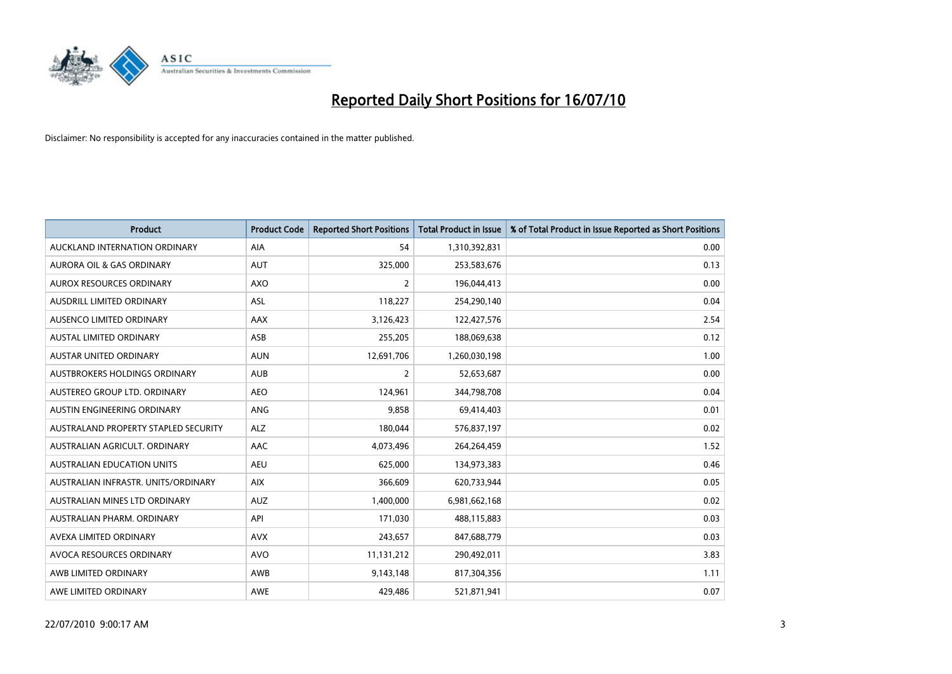

| <b>Product</b>                       | <b>Product Code</b> | <b>Reported Short Positions</b> | <b>Total Product in Issue</b> | % of Total Product in Issue Reported as Short Positions |
|--------------------------------------|---------------------|---------------------------------|-------------------------------|---------------------------------------------------------|
| AUCKLAND INTERNATION ORDINARY        | AIA                 | 54                              | 1,310,392,831                 | 0.00                                                    |
| AURORA OIL & GAS ORDINARY            | <b>AUT</b>          | 325,000                         | 253,583,676                   | 0.13                                                    |
| <b>AUROX RESOURCES ORDINARY</b>      | <b>AXO</b>          | $\overline{2}$                  | 196,044,413                   | 0.00                                                    |
| AUSDRILL LIMITED ORDINARY            | <b>ASL</b>          | 118,227                         | 254,290,140                   | 0.04                                                    |
| AUSENCO LIMITED ORDINARY             | <b>AAX</b>          | 3,126,423                       | 122,427,576                   | 2.54                                                    |
| <b>AUSTAL LIMITED ORDINARY</b>       | ASB                 | 255,205                         | 188,069,638                   | 0.12                                                    |
| <b>AUSTAR UNITED ORDINARY</b>        | <b>AUN</b>          | 12,691,706                      | 1,260,030,198                 | 1.00                                                    |
| AUSTBROKERS HOLDINGS ORDINARY        | <b>AUB</b>          | $\overline{2}$                  | 52,653,687                    | 0.00                                                    |
| AUSTEREO GROUP LTD. ORDINARY         | <b>AEO</b>          | 124,961                         | 344,798,708                   | 0.04                                                    |
| AUSTIN ENGINEERING ORDINARY          | ANG                 | 9,858                           | 69,414,403                    | 0.01                                                    |
| AUSTRALAND PROPERTY STAPLED SECURITY | <b>ALZ</b>          | 180,044                         | 576,837,197                   | 0.02                                                    |
| AUSTRALIAN AGRICULT, ORDINARY        | <b>AAC</b>          | 4,073,496                       | 264,264,459                   | 1.52                                                    |
| <b>AUSTRALIAN EDUCATION UNITS</b>    | <b>AEU</b>          | 625,000                         | 134,973,383                   | 0.46                                                    |
| AUSTRALIAN INFRASTR, UNITS/ORDINARY  | <b>AIX</b>          | 366,609                         | 620,733,944                   | 0.05                                                    |
| AUSTRALIAN MINES LTD ORDINARY        | <b>AUZ</b>          | 1,400,000                       | 6,981,662,168                 | 0.02                                                    |
| AUSTRALIAN PHARM, ORDINARY           | API                 | 171,030                         | 488,115,883                   | 0.03                                                    |
| AVEXA LIMITED ORDINARY               | <b>AVX</b>          | 243,657                         | 847,688,779                   | 0.03                                                    |
| AVOCA RESOURCES ORDINARY             | <b>AVO</b>          | 11,131,212                      | 290,492,011                   | 3.83                                                    |
| AWB LIMITED ORDINARY                 | <b>AWB</b>          | 9,143,148                       | 817,304,356                   | 1.11                                                    |
| AWE LIMITED ORDINARY                 | AWE                 | 429,486                         | 521,871,941                   | 0.07                                                    |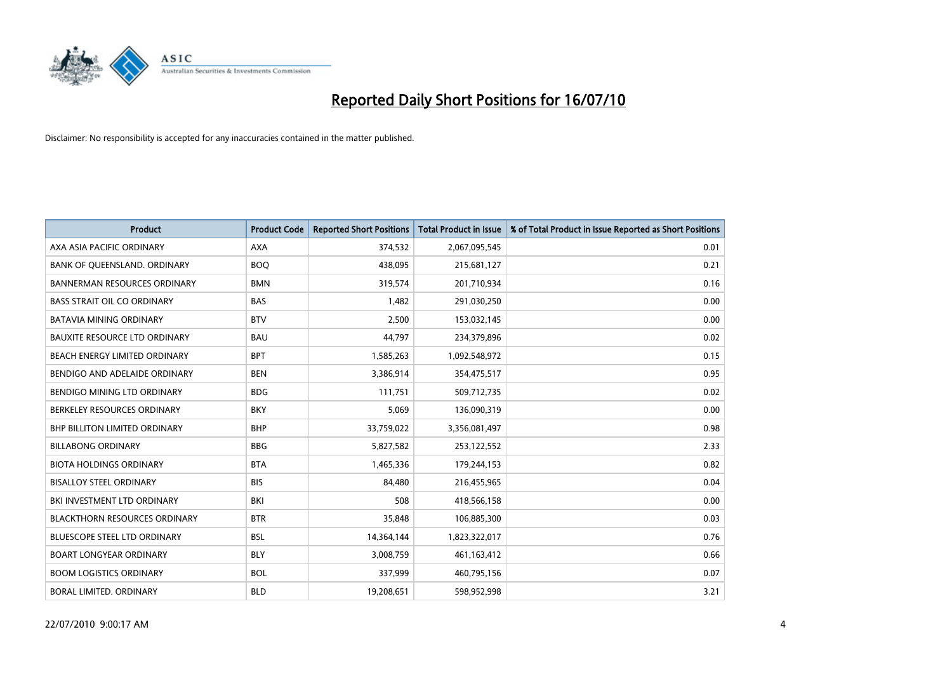

| <b>Product</b>                       | <b>Product Code</b> | <b>Reported Short Positions</b> | <b>Total Product in Issue</b> | % of Total Product in Issue Reported as Short Positions |
|--------------------------------------|---------------------|---------------------------------|-------------------------------|---------------------------------------------------------|
| AXA ASIA PACIFIC ORDINARY            | <b>AXA</b>          | 374,532                         | 2,067,095,545                 | 0.01                                                    |
| BANK OF QUEENSLAND. ORDINARY         | <b>BOO</b>          | 438,095                         | 215,681,127                   | 0.21                                                    |
| <b>BANNERMAN RESOURCES ORDINARY</b>  | <b>BMN</b>          | 319,574                         | 201,710,934                   | 0.16                                                    |
| <b>BASS STRAIT OIL CO ORDINARY</b>   | <b>BAS</b>          | 1,482                           | 291,030,250                   | 0.00                                                    |
| <b>BATAVIA MINING ORDINARY</b>       | <b>BTV</b>          | 2,500                           | 153,032,145                   | 0.00                                                    |
| <b>BAUXITE RESOURCE LTD ORDINARY</b> | <b>BAU</b>          | 44,797                          | 234,379,896                   | 0.02                                                    |
| BEACH ENERGY LIMITED ORDINARY        | <b>BPT</b>          | 1,585,263                       | 1,092,548,972                 | 0.15                                                    |
| BENDIGO AND ADELAIDE ORDINARY        | <b>BEN</b>          | 3,386,914                       | 354,475,517                   | 0.95                                                    |
| BENDIGO MINING LTD ORDINARY          | <b>BDG</b>          | 111,751                         | 509,712,735                   | 0.02                                                    |
| BERKELEY RESOURCES ORDINARY          | <b>BKY</b>          | 5,069                           | 136,090,319                   | 0.00                                                    |
| <b>BHP BILLITON LIMITED ORDINARY</b> | <b>BHP</b>          | 33,759,022                      | 3,356,081,497                 | 0.98                                                    |
| <b>BILLABONG ORDINARY</b>            | <b>BBG</b>          | 5,827,582                       | 253,122,552                   | 2.33                                                    |
| <b>BIOTA HOLDINGS ORDINARY</b>       | <b>BTA</b>          | 1,465,336                       | 179,244,153                   | 0.82                                                    |
| <b>BISALLOY STEEL ORDINARY</b>       | <b>BIS</b>          | 84,480                          | 216,455,965                   | 0.04                                                    |
| BKI INVESTMENT LTD ORDINARY          | BKI                 | 508                             | 418,566,158                   | 0.00                                                    |
| <b>BLACKTHORN RESOURCES ORDINARY</b> | <b>BTR</b>          | 35,848                          | 106,885,300                   | 0.03                                                    |
| <b>BLUESCOPE STEEL LTD ORDINARY</b>  | <b>BSL</b>          | 14,364,144                      | 1,823,322,017                 | 0.76                                                    |
| <b>BOART LONGYEAR ORDINARY</b>       | <b>BLY</b>          | 3,008,759                       | 461,163,412                   | 0.66                                                    |
| <b>BOOM LOGISTICS ORDINARY</b>       | <b>BOL</b>          | 337,999                         | 460,795,156                   | 0.07                                                    |
| BORAL LIMITED, ORDINARY              | <b>BLD</b>          | 19,208,651                      | 598,952,998                   | 3.21                                                    |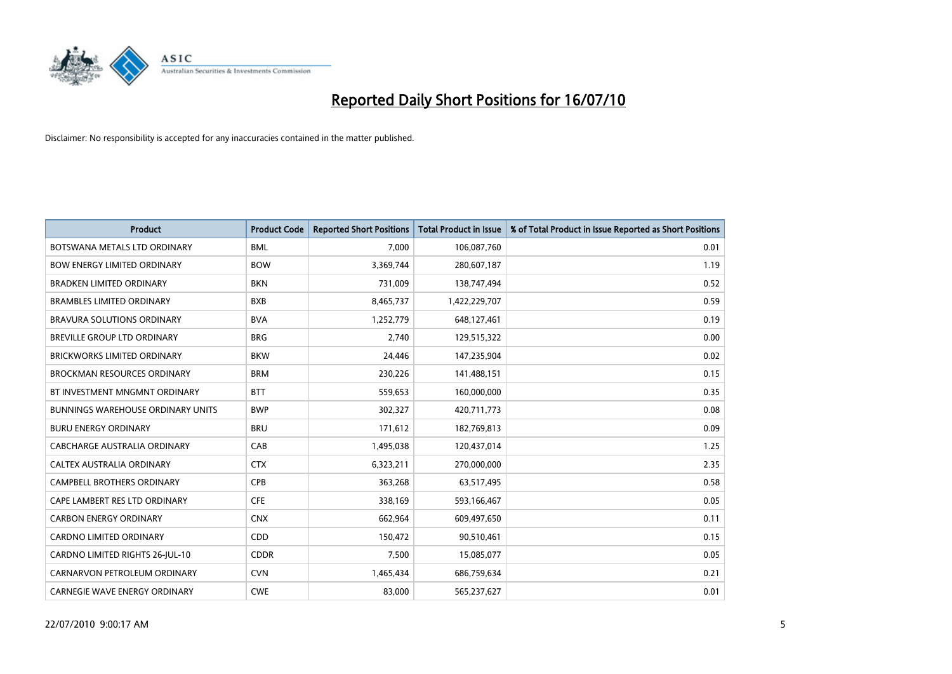

| <b>Product</b>                           | <b>Product Code</b> | <b>Reported Short Positions</b> | Total Product in Issue | % of Total Product in Issue Reported as Short Positions |
|------------------------------------------|---------------------|---------------------------------|------------------------|---------------------------------------------------------|
| BOTSWANA METALS LTD ORDINARY             | <b>BML</b>          | 7,000                           | 106,087,760            | 0.01                                                    |
| <b>BOW ENERGY LIMITED ORDINARY</b>       | <b>BOW</b>          | 3,369,744                       | 280,607,187            | 1.19                                                    |
| <b>BRADKEN LIMITED ORDINARY</b>          | <b>BKN</b>          | 731,009                         | 138,747,494            | 0.52                                                    |
| <b>BRAMBLES LIMITED ORDINARY</b>         | <b>BXB</b>          | 8,465,737                       | 1,422,229,707          | 0.59                                                    |
| <b>BRAVURA SOLUTIONS ORDINARY</b>        | <b>BVA</b>          | 1,252,779                       | 648,127,461            | 0.19                                                    |
| <b>BREVILLE GROUP LTD ORDINARY</b>       | <b>BRG</b>          | 2,740                           | 129,515,322            | 0.00                                                    |
| <b>BRICKWORKS LIMITED ORDINARY</b>       | <b>BKW</b>          | 24,446                          | 147,235,904            | 0.02                                                    |
| BROCKMAN RESOURCES ORDINARY              | <b>BRM</b>          | 230,226                         | 141,488,151            | 0.15                                                    |
| BT INVESTMENT MNGMNT ORDINARY            | <b>BTT</b>          | 559,653                         | 160,000,000            | 0.35                                                    |
| <b>BUNNINGS WAREHOUSE ORDINARY UNITS</b> | <b>BWP</b>          | 302,327                         | 420,711,773            | 0.08                                                    |
| <b>BURU ENERGY ORDINARY</b>              | <b>BRU</b>          | 171,612                         | 182,769,813            | 0.09                                                    |
| CABCHARGE AUSTRALIA ORDINARY             | CAB                 | 1,495,038                       | 120,437,014            | 1.25                                                    |
| CALTEX AUSTRALIA ORDINARY                | <b>CTX</b>          | 6,323,211                       | 270,000,000            | 2.35                                                    |
| CAMPBELL BROTHERS ORDINARY               | <b>CPB</b>          | 363,268                         | 63,517,495             | 0.58                                                    |
| CAPE LAMBERT RES LTD ORDINARY            | <b>CFE</b>          | 338,169                         | 593,166,467            | 0.05                                                    |
| <b>CARBON ENERGY ORDINARY</b>            | <b>CNX</b>          | 662,964                         | 609,497,650            | 0.11                                                    |
| CARDNO LIMITED ORDINARY                  | CDD                 | 150,472                         | 90,510,461             | 0.15                                                    |
| CARDNO LIMITED RIGHTS 26-JUL-10          | <b>CDDR</b>         | 7,500                           | 15,085,077             | 0.05                                                    |
| CARNARVON PETROLEUM ORDINARY             | <b>CVN</b>          | 1,465,434                       | 686,759,634            | 0.21                                                    |
| CARNEGIE WAVE ENERGY ORDINARY            | <b>CWE</b>          | 83,000                          | 565,237,627            | 0.01                                                    |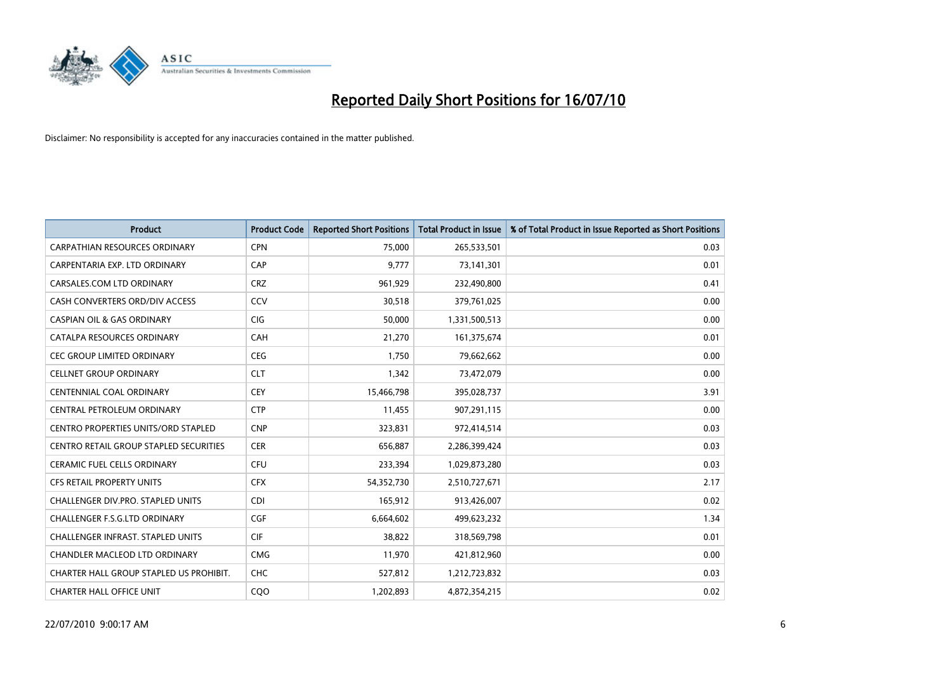

| <b>Product</b>                                | <b>Product Code</b> | <b>Reported Short Positions</b> | Total Product in Issue | % of Total Product in Issue Reported as Short Positions |
|-----------------------------------------------|---------------------|---------------------------------|------------------------|---------------------------------------------------------|
| <b>CARPATHIAN RESOURCES ORDINARY</b>          | <b>CPN</b>          | 75.000                          | 265,533,501            | 0.03                                                    |
| CARPENTARIA EXP. LTD ORDINARY                 | CAP                 | 9,777                           | 73,141,301             | 0.01                                                    |
| CARSALES.COM LTD ORDINARY                     | <b>CRZ</b>          | 961,929                         | 232,490,800            | 0.41                                                    |
| CASH CONVERTERS ORD/DIV ACCESS                | CCV                 | 30,518                          | 379,761,025            | 0.00                                                    |
| <b>CASPIAN OIL &amp; GAS ORDINARY</b>         | <b>CIG</b>          | 50,000                          | 1,331,500,513          | 0.00                                                    |
| CATALPA RESOURCES ORDINARY                    | CAH                 | 21,270                          | 161,375,674            | 0.01                                                    |
| <b>CEC GROUP LIMITED ORDINARY</b>             | <b>CEG</b>          | 1.750                           | 79,662,662             | 0.00                                                    |
| <b>CELLNET GROUP ORDINARY</b>                 | <b>CLT</b>          | 1,342                           | 73,472,079             | 0.00                                                    |
| CENTENNIAL COAL ORDINARY                      | <b>CEY</b>          | 15,466,798                      | 395,028,737            | 3.91                                                    |
| CENTRAL PETROLEUM ORDINARY                    | <b>CTP</b>          | 11,455                          | 907,291,115            | 0.00                                                    |
| <b>CENTRO PROPERTIES UNITS/ORD STAPLED</b>    | <b>CNP</b>          | 323,831                         | 972,414,514            | 0.03                                                    |
| <b>CENTRO RETAIL GROUP STAPLED SECURITIES</b> | <b>CER</b>          | 656,887                         | 2,286,399,424          | 0.03                                                    |
| <b>CERAMIC FUEL CELLS ORDINARY</b>            | <b>CFU</b>          | 233,394                         | 1,029,873,280          | 0.03                                                    |
| <b>CFS RETAIL PROPERTY UNITS</b>              | <b>CFX</b>          | 54,352,730                      | 2,510,727,671          | 2.17                                                    |
| <b>CHALLENGER DIV.PRO. STAPLED UNITS</b>      | <b>CDI</b>          | 165,912                         | 913,426,007            | 0.02                                                    |
| CHALLENGER F.S.G.LTD ORDINARY                 | <b>CGF</b>          | 6,664,602                       | 499,623,232            | 1.34                                                    |
| <b>CHALLENGER INFRAST, STAPLED UNITS</b>      | <b>CIF</b>          | 38,822                          | 318,569,798            | 0.01                                                    |
| CHANDLER MACLEOD LTD ORDINARY                 | <b>CMG</b>          | 11,970                          | 421,812,960            | 0.00                                                    |
| CHARTER HALL GROUP STAPLED US PROHIBIT.       | <b>CHC</b>          | 527,812                         | 1,212,723,832          | 0.03                                                    |
| <b>CHARTER HALL OFFICE UNIT</b>               | COO                 | 1,202,893                       | 4,872,354,215          | 0.02                                                    |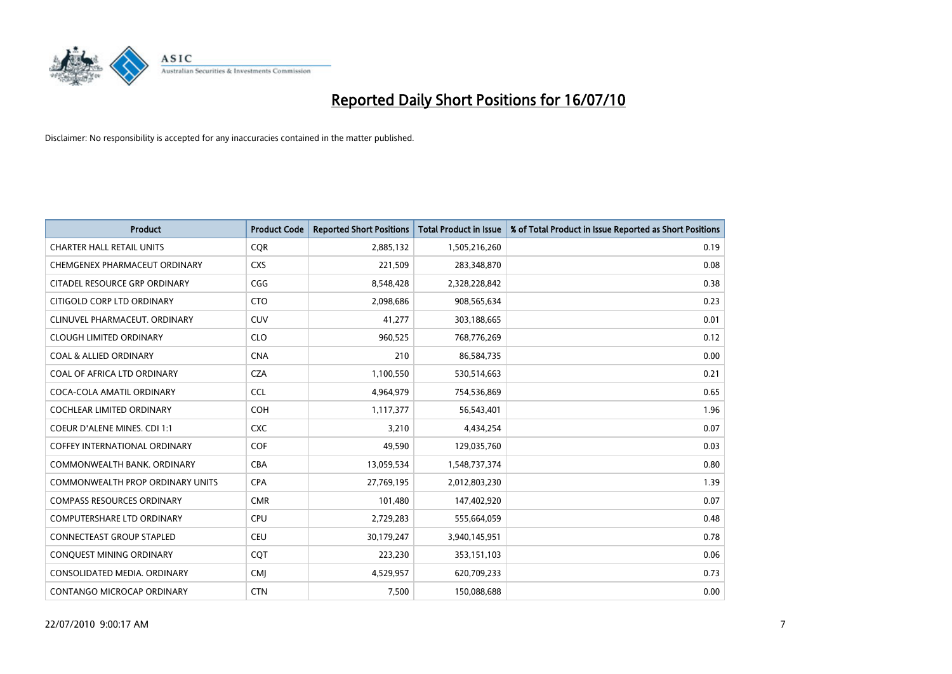

| <b>Product</b>                          | <b>Product Code</b> | <b>Reported Short Positions</b> | <b>Total Product in Issue</b> | % of Total Product in Issue Reported as Short Positions |
|-----------------------------------------|---------------------|---------------------------------|-------------------------------|---------------------------------------------------------|
| <b>CHARTER HALL RETAIL UNITS</b>        | <b>CQR</b>          | 2,885,132                       | 1,505,216,260                 | 0.19                                                    |
| CHEMGENEX PHARMACEUT ORDINARY           | <b>CXS</b>          | 221,509                         | 283,348,870                   | 0.08                                                    |
| CITADEL RESOURCE GRP ORDINARY           | CGG                 | 8,548,428                       | 2,328,228,842                 | 0.38                                                    |
| CITIGOLD CORP LTD ORDINARY              | <b>CTO</b>          | 2,098,686                       | 908,565,634                   | 0.23                                                    |
| CLINUVEL PHARMACEUT, ORDINARY           | <b>CUV</b>          | 41,277                          | 303,188,665                   | 0.01                                                    |
| <b>CLOUGH LIMITED ORDINARY</b>          | <b>CLO</b>          | 960,525                         | 768,776,269                   | 0.12                                                    |
| <b>COAL &amp; ALLIED ORDINARY</b>       | <b>CNA</b>          | 210                             | 86,584,735                    | 0.00                                                    |
| COAL OF AFRICA LTD ORDINARY             | <b>CZA</b>          | 1,100,550                       | 530,514,663                   | 0.21                                                    |
| COCA-COLA AMATIL ORDINARY               | <b>CCL</b>          | 4,964,979                       | 754,536,869                   | 0.65                                                    |
| <b>COCHLEAR LIMITED ORDINARY</b>        | <b>COH</b>          | 1,117,377                       | 56,543,401                    | 1.96                                                    |
| <b>COEUR D'ALENE MINES. CDI 1:1</b>     | <b>CXC</b>          | 3,210                           | 4,434,254                     | 0.07                                                    |
| <b>COFFEY INTERNATIONAL ORDINARY</b>    | <b>COF</b>          | 49,590                          | 129,035,760                   | 0.03                                                    |
| COMMONWEALTH BANK, ORDINARY             | <b>CBA</b>          | 13,059,534                      | 1,548,737,374                 | 0.80                                                    |
| <b>COMMONWEALTH PROP ORDINARY UNITS</b> | <b>CPA</b>          | 27,769,195                      | 2,012,803,230                 | 1.39                                                    |
| <b>COMPASS RESOURCES ORDINARY</b>       | <b>CMR</b>          | 101,480                         | 147,402,920                   | 0.07                                                    |
| <b>COMPUTERSHARE LTD ORDINARY</b>       | CPU                 | 2,729,283                       | 555,664,059                   | 0.48                                                    |
| <b>CONNECTEAST GROUP STAPLED</b>        | CEU                 | 30,179,247                      | 3,940,145,951                 | 0.78                                                    |
| CONQUEST MINING ORDINARY                | CQT                 | 223,230                         | 353,151,103                   | 0.06                                                    |
| CONSOLIDATED MEDIA, ORDINARY            | <b>CMI</b>          | 4,529,957                       | 620,709,233                   | 0.73                                                    |
| CONTANGO MICROCAP ORDINARY              | <b>CTN</b>          | 7,500                           | 150,088,688                   | 0.00                                                    |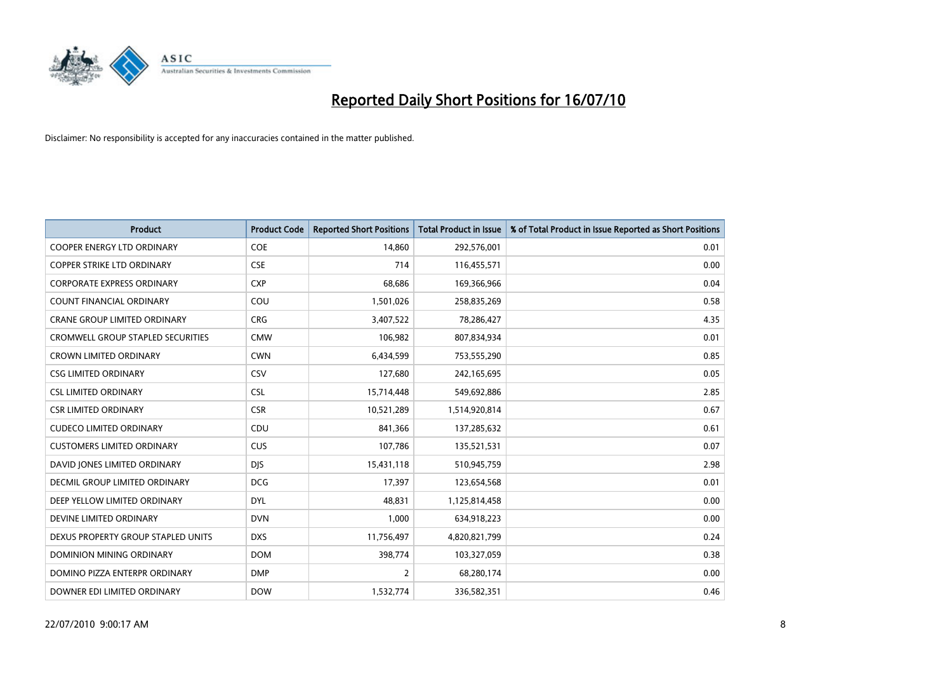

| <b>Product</b>                           | <b>Product Code</b> | <b>Reported Short Positions</b> | Total Product in Issue | % of Total Product in Issue Reported as Short Positions |
|------------------------------------------|---------------------|---------------------------------|------------------------|---------------------------------------------------------|
| <b>COOPER ENERGY LTD ORDINARY</b>        | COE                 | 14,860                          | 292,576,001            | 0.01                                                    |
| COPPER STRIKE LTD ORDINARY               | <b>CSE</b>          | 714                             | 116,455,571            | 0.00                                                    |
| <b>CORPORATE EXPRESS ORDINARY</b>        | <b>CXP</b>          | 68,686                          | 169,366,966            | 0.04                                                    |
| COUNT FINANCIAL ORDINARY                 | COU                 | 1,501,026                       | 258,835,269            | 0.58                                                    |
| <b>CRANE GROUP LIMITED ORDINARY</b>      | <b>CRG</b>          | 3,407,522                       | 78,286,427             | 4.35                                                    |
| <b>CROMWELL GROUP STAPLED SECURITIES</b> | <b>CMW</b>          | 106,982                         | 807,834,934            | 0.01                                                    |
| <b>CROWN LIMITED ORDINARY</b>            | <b>CWN</b>          | 6,434,599                       | 753,555,290            | 0.85                                                    |
| CSG LIMITED ORDINARY                     | CSV                 | 127,680                         | 242,165,695            | 0.05                                                    |
| <b>CSL LIMITED ORDINARY</b>              | <b>CSL</b>          | 15,714,448                      | 549,692,886            | 2.85                                                    |
| <b>CSR LIMITED ORDINARY</b>              | <b>CSR</b>          | 10,521,289                      | 1,514,920,814          | 0.67                                                    |
| <b>CUDECO LIMITED ORDINARY</b>           | CDU                 | 841,366                         | 137,285,632            | 0.61                                                    |
| <b>CUSTOMERS LIMITED ORDINARY</b>        | <b>CUS</b>          | 107,786                         | 135,521,531            | 0.07                                                    |
| DAVID JONES LIMITED ORDINARY             | <b>DJS</b>          | 15,431,118                      | 510,945,759            | 2.98                                                    |
| DECMIL GROUP LIMITED ORDINARY            | <b>DCG</b>          | 17,397                          | 123,654,568            | 0.01                                                    |
| DEEP YELLOW LIMITED ORDINARY             | <b>DYL</b>          | 48,831                          | 1,125,814,458          | 0.00                                                    |
| DEVINE LIMITED ORDINARY                  | <b>DVN</b>          | 1,000                           | 634,918,223            | 0.00                                                    |
| DEXUS PROPERTY GROUP STAPLED UNITS       | <b>DXS</b>          | 11,756,497                      | 4,820,821,799          | 0.24                                                    |
| <b>DOMINION MINING ORDINARY</b>          | <b>DOM</b>          | 398,774                         | 103,327,059            | 0.38                                                    |
| DOMINO PIZZA ENTERPR ORDINARY            | <b>DMP</b>          | $\overline{2}$                  | 68,280,174             | 0.00                                                    |
| DOWNER EDI LIMITED ORDINARY              | <b>DOW</b>          | 1,532,774                       | 336,582,351            | 0.46                                                    |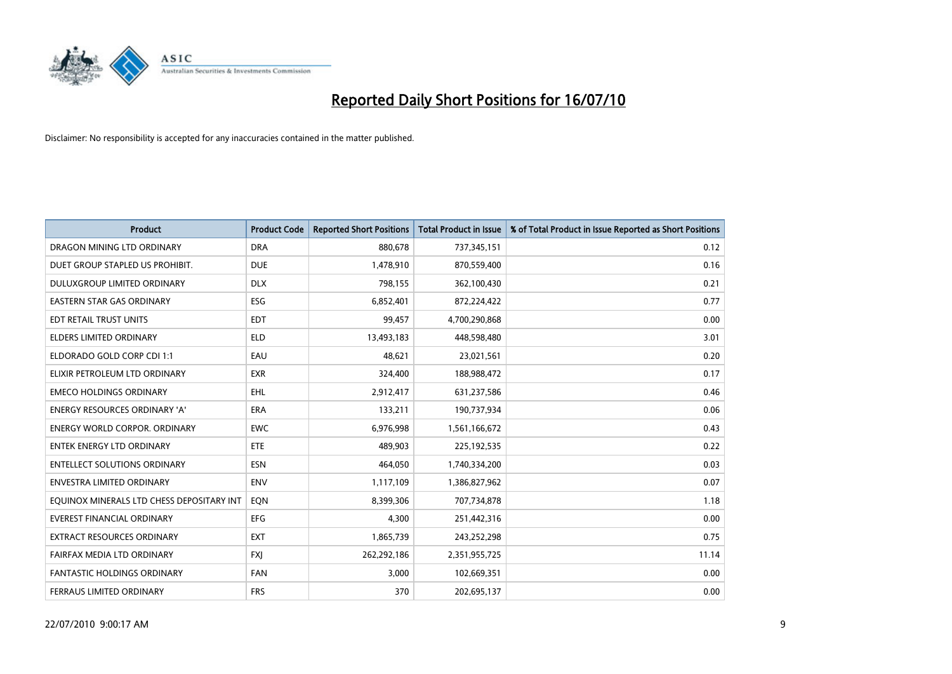

| <b>Product</b>                            | <b>Product Code</b> | <b>Reported Short Positions</b> | <b>Total Product in Issue</b> | % of Total Product in Issue Reported as Short Positions |
|-------------------------------------------|---------------------|---------------------------------|-------------------------------|---------------------------------------------------------|
| DRAGON MINING LTD ORDINARY                | <b>DRA</b>          | 880,678                         | 737,345,151                   | 0.12                                                    |
| DUET GROUP STAPLED US PROHIBIT.           | <b>DUE</b>          | 1,478,910                       | 870,559,400                   | 0.16                                                    |
| DULUXGROUP LIMITED ORDINARY               | <b>DLX</b>          | 798,155                         | 362,100,430                   | 0.21                                                    |
| <b>EASTERN STAR GAS ORDINARY</b>          | ESG                 | 6,852,401                       | 872,224,422                   | 0.77                                                    |
| EDT RETAIL TRUST UNITS                    | <b>EDT</b>          | 99,457                          | 4,700,290,868                 | 0.00                                                    |
| <b>ELDERS LIMITED ORDINARY</b>            | <b>ELD</b>          | 13,493,183                      | 448,598,480                   | 3.01                                                    |
| ELDORADO GOLD CORP CDI 1:1                | EAU                 | 48,621                          | 23,021,561                    | 0.20                                                    |
| ELIXIR PETROLEUM LTD ORDINARY             | <b>EXR</b>          | 324,400                         | 188,988,472                   | 0.17                                                    |
| <b>EMECO HOLDINGS ORDINARY</b>            | <b>EHL</b>          | 2,912,417                       | 631,237,586                   | 0.46                                                    |
| <b>ENERGY RESOURCES ORDINARY 'A'</b>      | <b>ERA</b>          | 133,211                         | 190,737,934                   | 0.06                                                    |
| ENERGY WORLD CORPOR. ORDINARY             | <b>EWC</b>          | 6,976,998                       | 1,561,166,672                 | 0.43                                                    |
| <b>ENTEK ENERGY LTD ORDINARY</b>          | <b>ETE</b>          | 489,903                         | 225,192,535                   | 0.22                                                    |
| <b>ENTELLECT SOLUTIONS ORDINARY</b>       | <b>ESN</b>          | 464,050                         | 1,740,334,200                 | 0.03                                                    |
| <b>ENVESTRA LIMITED ORDINARY</b>          | <b>ENV</b>          | 1,117,109                       | 1,386,827,962                 | 0.07                                                    |
| EQUINOX MINERALS LTD CHESS DEPOSITARY INT | EQN                 | 8,399,306                       | 707,734,878                   | 1.18                                                    |
| <b>EVEREST FINANCIAL ORDINARY</b>         | <b>EFG</b>          | 4,300                           | 251,442,316                   | 0.00                                                    |
| EXTRACT RESOURCES ORDINARY                | <b>EXT</b>          | 1,865,739                       | 243,252,298                   | 0.75                                                    |
| FAIRFAX MEDIA LTD ORDINARY                | <b>FXJ</b>          | 262,292,186                     | 2,351,955,725                 | 11.14                                                   |
| <b>FANTASTIC HOLDINGS ORDINARY</b>        | <b>FAN</b>          | 3,000                           | 102,669,351                   | 0.00                                                    |
| FERRAUS LIMITED ORDINARY                  | <b>FRS</b>          | 370                             | 202,695,137                   | 0.00                                                    |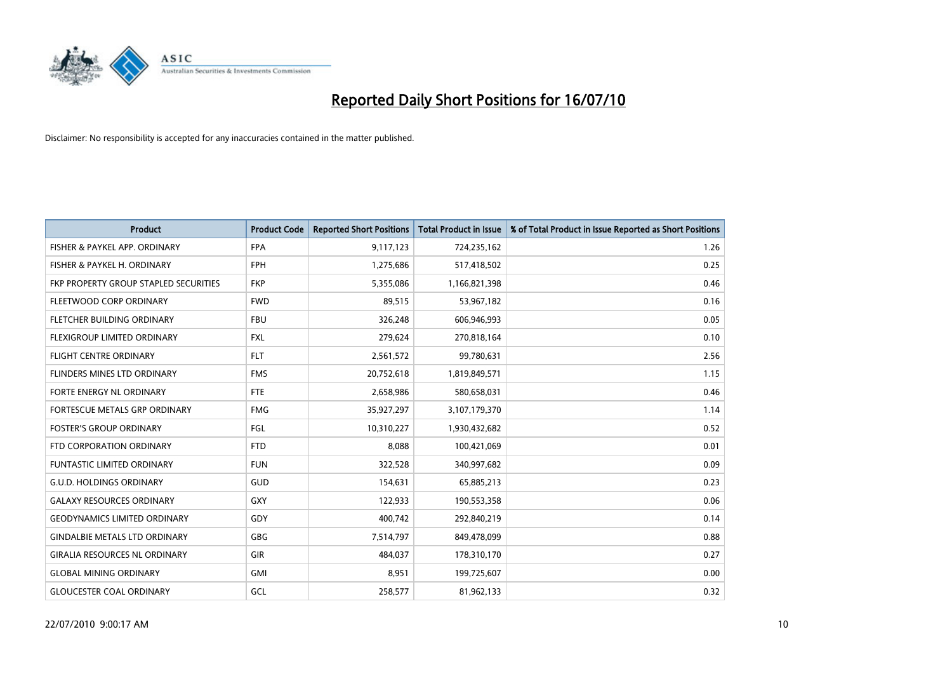

| <b>Product</b>                        | <b>Product Code</b> | <b>Reported Short Positions</b> | Total Product in Issue | % of Total Product in Issue Reported as Short Positions |
|---------------------------------------|---------------------|---------------------------------|------------------------|---------------------------------------------------------|
| FISHER & PAYKEL APP. ORDINARY         | <b>FPA</b>          | 9,117,123                       | 724,235,162            | 1.26                                                    |
| FISHER & PAYKEL H. ORDINARY           | <b>FPH</b>          | 1,275,686                       | 517,418,502            | 0.25                                                    |
| FKP PROPERTY GROUP STAPLED SECURITIES | <b>FKP</b>          | 5,355,086                       | 1,166,821,398          | 0.46                                                    |
| FLEETWOOD CORP ORDINARY               | <b>FWD</b>          | 89,515                          | 53,967,182             | 0.16                                                    |
| FLETCHER BUILDING ORDINARY            | <b>FBU</b>          | 326,248                         | 606,946,993            | 0.05                                                    |
| FLEXIGROUP LIMITED ORDINARY           | <b>FXL</b>          | 279,624                         | 270,818,164            | 0.10                                                    |
| <b>FLIGHT CENTRE ORDINARY</b>         | <b>FLT</b>          | 2,561,572                       | 99,780,631             | 2.56                                                    |
| <b>FLINDERS MINES LTD ORDINARY</b>    | <b>FMS</b>          | 20,752,618                      | 1,819,849,571          | 1.15                                                    |
| FORTE ENERGY NL ORDINARY              | <b>FTE</b>          | 2,658,986                       | 580,658,031            | 0.46                                                    |
| FORTESCUE METALS GRP ORDINARY         | <b>FMG</b>          | 35,927,297                      | 3,107,179,370          | 1.14                                                    |
| <b>FOSTER'S GROUP ORDINARY</b>        | <b>FGL</b>          | 10,310,227                      | 1,930,432,682          | 0.52                                                    |
| FTD CORPORATION ORDINARY              | <b>FTD</b>          | 8,088                           | 100,421,069            | 0.01                                                    |
| <b>FUNTASTIC LIMITED ORDINARY</b>     | <b>FUN</b>          | 322,528                         | 340,997,682            | 0.09                                                    |
| <b>G.U.D. HOLDINGS ORDINARY</b>       | GUD                 | 154,631                         | 65,885,213             | 0.23                                                    |
| <b>GALAXY RESOURCES ORDINARY</b>      | <b>GXY</b>          | 122,933                         | 190,553,358            | 0.06                                                    |
| <b>GEODYNAMICS LIMITED ORDINARY</b>   | GDY                 | 400,742                         | 292,840,219            | 0.14                                                    |
| <b>GINDALBIE METALS LTD ORDINARY</b>  | <b>GBG</b>          | 7,514,797                       | 849,478,099            | 0.88                                                    |
| <b>GIRALIA RESOURCES NL ORDINARY</b>  | GIR                 | 484,037                         | 178,310,170            | 0.27                                                    |
| <b>GLOBAL MINING ORDINARY</b>         | <b>GMI</b>          | 8,951                           | 199,725,607            | 0.00                                                    |
| <b>GLOUCESTER COAL ORDINARY</b>       | GCL                 | 258,577                         | 81,962,133             | 0.32                                                    |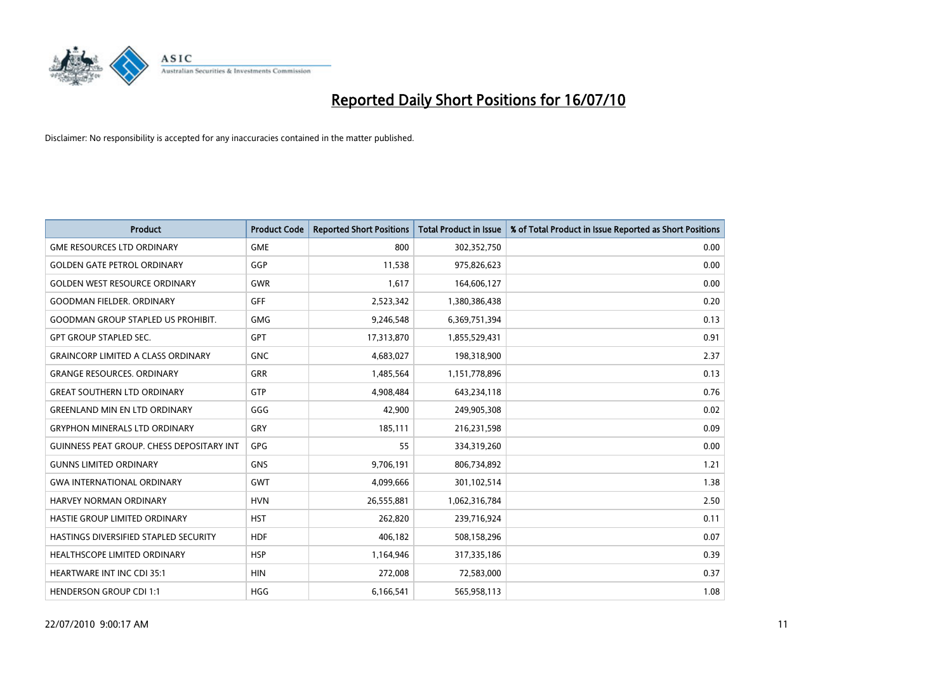

| <b>Product</b>                                   | <b>Product Code</b> | <b>Reported Short Positions</b> | Total Product in Issue | % of Total Product in Issue Reported as Short Positions |
|--------------------------------------------------|---------------------|---------------------------------|------------------------|---------------------------------------------------------|
| <b>GME RESOURCES LTD ORDINARY</b>                | <b>GME</b>          | 800                             | 302,352,750            | 0.00                                                    |
| <b>GOLDEN GATE PETROL ORDINARY</b>               | GGP                 | 11,538                          | 975,826,623            | 0.00                                                    |
| <b>GOLDEN WEST RESOURCE ORDINARY</b>             | <b>GWR</b>          | 1,617                           | 164,606,127            | 0.00                                                    |
| <b>GOODMAN FIELDER, ORDINARY</b>                 | <b>GFF</b>          | 2,523,342                       | 1,380,386,438          | 0.20                                                    |
| <b>GOODMAN GROUP STAPLED US PROHIBIT.</b>        | <b>GMG</b>          | 9,246,548                       | 6,369,751,394          | 0.13                                                    |
| <b>GPT GROUP STAPLED SEC.</b>                    | <b>GPT</b>          | 17,313,870                      | 1,855,529,431          | 0.91                                                    |
| <b>GRAINCORP LIMITED A CLASS ORDINARY</b>        | <b>GNC</b>          | 4,683,027                       | 198,318,900            | 2.37                                                    |
| <b>GRANGE RESOURCES, ORDINARY</b>                | GRR                 | 1,485,564                       | 1,151,778,896          | 0.13                                                    |
| <b>GREAT SOUTHERN LTD ORDINARY</b>               | <b>GTP</b>          | 4,908,484                       | 643,234,118            | 0.76                                                    |
| <b>GREENLAND MIN EN LTD ORDINARY</b>             | GGG                 | 42,900                          | 249,905,308            | 0.02                                                    |
| <b>GRYPHON MINERALS LTD ORDINARY</b>             | GRY                 | 185,111                         | 216,231,598            | 0.09                                                    |
| <b>GUINNESS PEAT GROUP. CHESS DEPOSITARY INT</b> | GPG                 | 55                              | 334,319,260            | 0.00                                                    |
| <b>GUNNS LIMITED ORDINARY</b>                    | <b>GNS</b>          | 9,706,191                       | 806,734,892            | 1.21                                                    |
| <b>GWA INTERNATIONAL ORDINARY</b>                | <b>GWT</b>          | 4,099,666                       | 301,102,514            | 1.38                                                    |
| HARVEY NORMAN ORDINARY                           | <b>HVN</b>          | 26,555,881                      | 1,062,316,784          | 2.50                                                    |
| HASTIE GROUP LIMITED ORDINARY                    | <b>HST</b>          | 262,820                         | 239,716,924            | 0.11                                                    |
| HASTINGS DIVERSIFIED STAPLED SECURITY            | <b>HDF</b>          | 406,182                         | 508,158,296            | 0.07                                                    |
| <b>HEALTHSCOPE LIMITED ORDINARY</b>              | <b>HSP</b>          | 1,164,946                       | 317,335,186            | 0.39                                                    |
| <b>HEARTWARE INT INC CDI 35:1</b>                | <b>HIN</b>          | 272,008                         | 72,583,000             | 0.37                                                    |
| <b>HENDERSON GROUP CDI 1:1</b>                   | <b>HGG</b>          | 6,166,541                       | 565,958,113            | 1.08                                                    |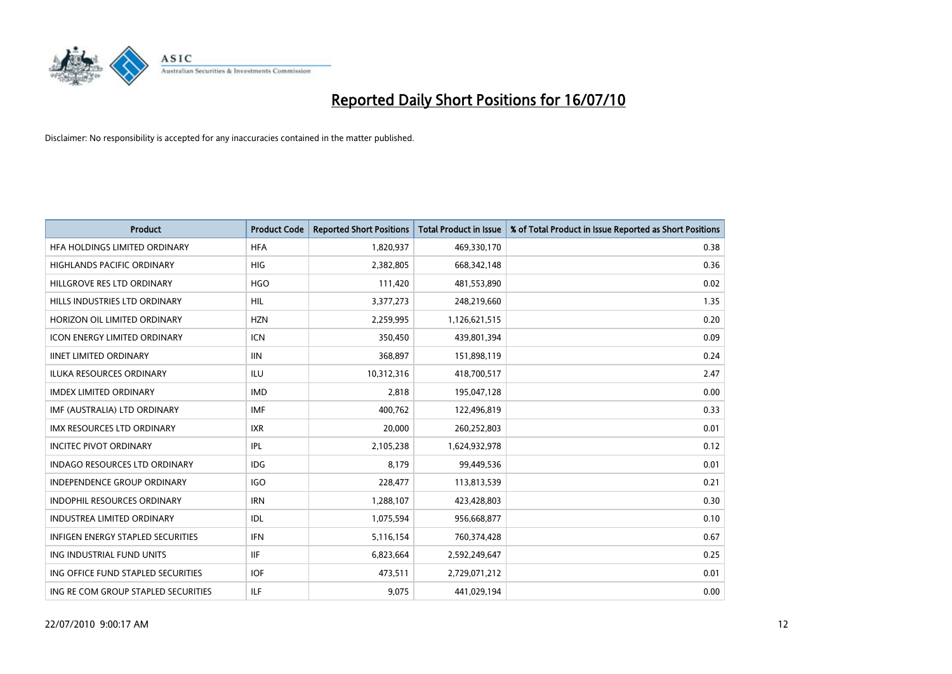

| <b>Product</b>                      | <b>Product Code</b> | <b>Reported Short Positions</b> | <b>Total Product in Issue</b> | % of Total Product in Issue Reported as Short Positions |
|-------------------------------------|---------------------|---------------------------------|-------------------------------|---------------------------------------------------------|
| HFA HOLDINGS LIMITED ORDINARY       | <b>HFA</b>          | 1,820,937                       | 469,330,170                   | 0.38                                                    |
| HIGHLANDS PACIFIC ORDINARY          | <b>HIG</b>          | 2,382,805                       | 668, 342, 148                 | 0.36                                                    |
| HILLGROVE RES LTD ORDINARY          | <b>HGO</b>          | 111,420                         | 481,553,890                   | 0.02                                                    |
| HILLS INDUSTRIES LTD ORDINARY       | <b>HIL</b>          | 3,377,273                       | 248,219,660                   | 1.35                                                    |
| HORIZON OIL LIMITED ORDINARY        | <b>HZN</b>          | 2,259,995                       | 1,126,621,515                 | 0.20                                                    |
| <b>ICON ENERGY LIMITED ORDINARY</b> | <b>ICN</b>          | 350,450                         | 439,801,394                   | 0.09                                                    |
| <b>IINET LIMITED ORDINARY</b>       | <b>IIN</b>          | 368,897                         | 151,898,119                   | 0.24                                                    |
| ILUKA RESOURCES ORDINARY            | <b>ILU</b>          | 10,312,316                      | 418,700,517                   | 2.47                                                    |
| <b>IMDEX LIMITED ORDINARY</b>       | <b>IMD</b>          | 2,818                           | 195,047,128                   | 0.00                                                    |
| IMF (AUSTRALIA) LTD ORDINARY        | <b>IMF</b>          | 400,762                         | 122,496,819                   | 0.33                                                    |
| IMX RESOURCES LTD ORDINARY          | <b>IXR</b>          | 20,000                          | 260,252,803                   | 0.01                                                    |
| <b>INCITEC PIVOT ORDINARY</b>       | <b>IPL</b>          | 2,105,238                       | 1,624,932,978                 | 0.12                                                    |
| INDAGO RESOURCES LTD ORDINARY       | <b>IDG</b>          | 8,179                           | 99,449,536                    | 0.01                                                    |
| <b>INDEPENDENCE GROUP ORDINARY</b>  | <b>IGO</b>          | 228,477                         | 113,813,539                   | 0.21                                                    |
| <b>INDOPHIL RESOURCES ORDINARY</b>  | <b>IRN</b>          | 1,288,107                       | 423,428,803                   | 0.30                                                    |
| <b>INDUSTREA LIMITED ORDINARY</b>   | IDL                 | 1,075,594                       | 956,668,877                   | 0.10                                                    |
| INFIGEN ENERGY STAPLED SECURITIES   | <b>IFN</b>          | 5,116,154                       | 760,374,428                   | 0.67                                                    |
| ING INDUSTRIAL FUND UNITS           | <b>IIF</b>          | 6,823,664                       | 2,592,249,647                 | 0.25                                                    |
| ING OFFICE FUND STAPLED SECURITIES  | <b>IOF</b>          | 473,511                         | 2,729,071,212                 | 0.01                                                    |
| ING RE COM GROUP STAPLED SECURITIES | <b>ILF</b>          | 9,075                           | 441,029,194                   | 0.00                                                    |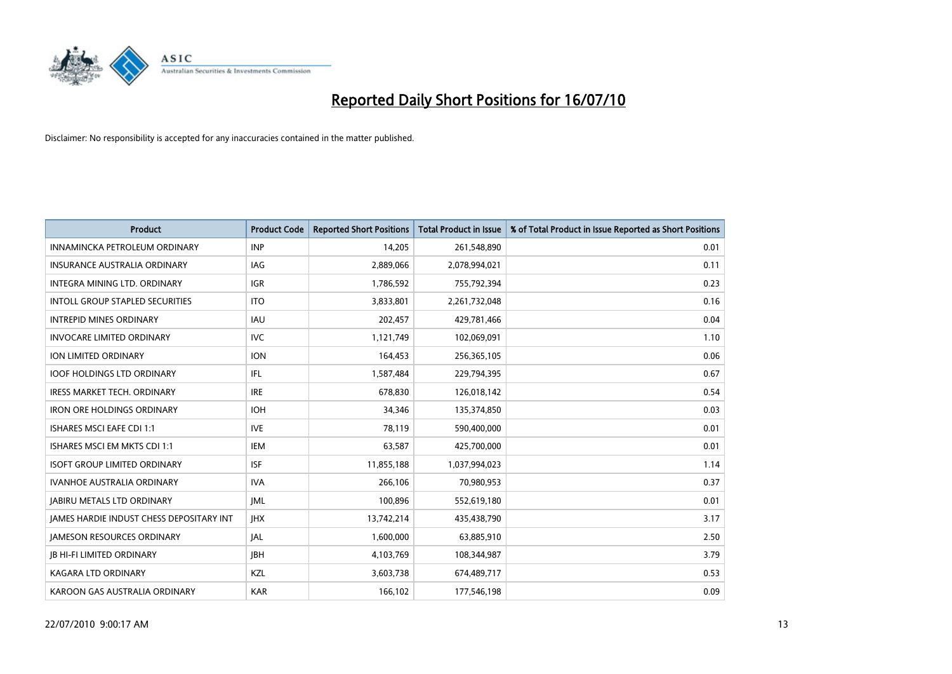

| <b>Product</b>                                  | <b>Product Code</b> | <b>Reported Short Positions</b> | <b>Total Product in Issue</b> | % of Total Product in Issue Reported as Short Positions |
|-------------------------------------------------|---------------------|---------------------------------|-------------------------------|---------------------------------------------------------|
| INNAMINCKA PETROLEUM ORDINARY                   | <b>INP</b>          | 14.205                          | 261,548,890                   | 0.01                                                    |
| <b>INSURANCE AUSTRALIA ORDINARY</b>             | <b>IAG</b>          | 2,889,066                       | 2,078,994,021                 | 0.11                                                    |
| INTEGRA MINING LTD, ORDINARY                    | <b>IGR</b>          | 1,786,592                       | 755,792,394                   | 0.23                                                    |
| INTOLL GROUP STAPLED SECURITIES                 | <b>ITO</b>          | 3,833,801                       | 2,261,732,048                 | 0.16                                                    |
| <b>INTREPID MINES ORDINARY</b>                  | <b>IAU</b>          | 202,457                         | 429,781,466                   | 0.04                                                    |
| <b>INVOCARE LIMITED ORDINARY</b>                | <b>IVC</b>          | 1,121,749                       | 102,069,091                   | 1.10                                                    |
| ION LIMITED ORDINARY                            | <b>ION</b>          | 164,453                         | 256,365,105                   | 0.06                                                    |
| <b>IOOF HOLDINGS LTD ORDINARY</b>               | <b>IFL</b>          | 1,587,484                       | 229,794,395                   | 0.67                                                    |
| <b>IRESS MARKET TECH. ORDINARY</b>              | <b>IRE</b>          | 678,830                         | 126,018,142                   | 0.54                                                    |
| <b>IRON ORE HOLDINGS ORDINARY</b>               | <b>IOH</b>          | 34,346                          | 135,374,850                   | 0.03                                                    |
| <b>ISHARES MSCI EAFE CDI 1:1</b>                | <b>IVE</b>          | 78.119                          | 590,400,000                   | 0.01                                                    |
| ISHARES MSCI EM MKTS CDI 1:1                    | <b>IEM</b>          | 63,587                          | 425,700,000                   | 0.01                                                    |
| <b>ISOFT GROUP LIMITED ORDINARY</b>             | <b>ISF</b>          | 11,855,188                      | 1,037,994,023                 | 1.14                                                    |
| <b>IVANHOE AUSTRALIA ORDINARY</b>               | <b>IVA</b>          | 266,106                         | 70,980,953                    | 0.37                                                    |
| <b>JABIRU METALS LTD ORDINARY</b>               | <b>JML</b>          | 100,896                         | 552,619,180                   | 0.01                                                    |
| <b>JAMES HARDIE INDUST CHESS DEPOSITARY INT</b> | <b>IHX</b>          | 13,742,214                      | 435,438,790                   | 3.17                                                    |
| <b>JAMESON RESOURCES ORDINARY</b>               | <b>JAL</b>          | 1,600,000                       | 63,885,910                    | 2.50                                                    |
| <b>JB HI-FI LIMITED ORDINARY</b>                | <b>IBH</b>          | 4,103,769                       | 108,344,987                   | 3.79                                                    |
| KAGARA LTD ORDINARY                             | KZL                 | 3,603,738                       | 674,489,717                   | 0.53                                                    |
| KAROON GAS AUSTRALIA ORDINARY                   | <b>KAR</b>          | 166.102                         | 177,546,198                   | 0.09                                                    |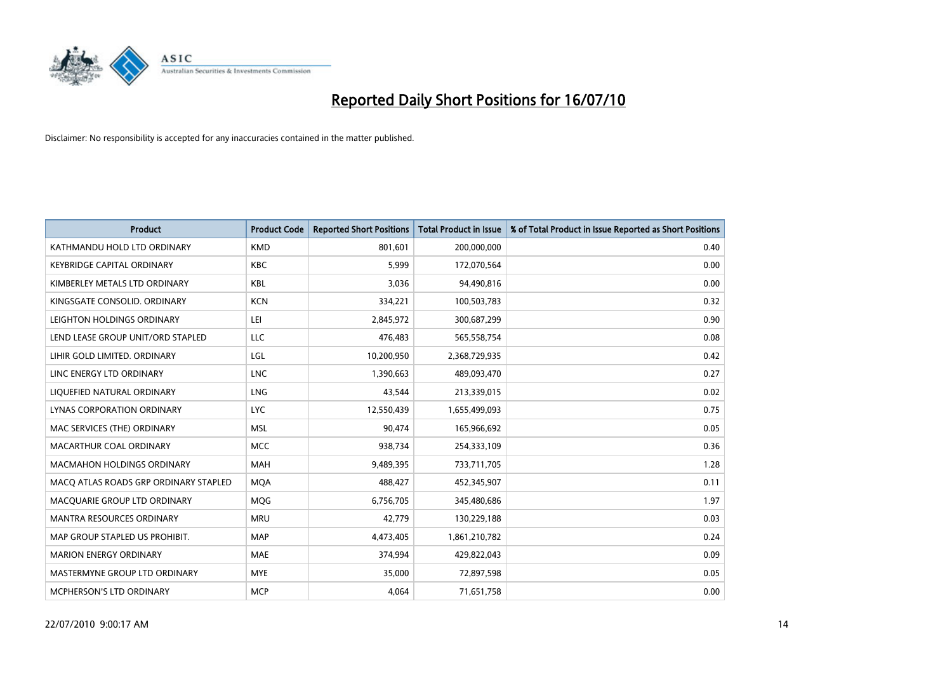

| <b>Product</b>                        | <b>Product Code</b> | <b>Reported Short Positions</b> | <b>Total Product in Issue</b> | % of Total Product in Issue Reported as Short Positions |
|---------------------------------------|---------------------|---------------------------------|-------------------------------|---------------------------------------------------------|
| KATHMANDU HOLD LTD ORDINARY           | <b>KMD</b>          | 801.601                         | 200,000,000                   | 0.40                                                    |
| <b>KEYBRIDGE CAPITAL ORDINARY</b>     | <b>KBC</b>          | 5,999                           | 172,070,564                   | 0.00                                                    |
| KIMBERLEY METALS LTD ORDINARY         | <b>KBL</b>          | 3,036                           | 94,490,816                    | 0.00                                                    |
| KINGSGATE CONSOLID. ORDINARY          | <b>KCN</b>          | 334,221                         | 100,503,783                   | 0.32                                                    |
| LEIGHTON HOLDINGS ORDINARY            | LEI                 | 2,845,972                       | 300,687,299                   | 0.90                                                    |
| LEND LEASE GROUP UNIT/ORD STAPLED     | <b>LLC</b>          | 476,483                         | 565,558,754                   | 0.08                                                    |
| LIHIR GOLD LIMITED. ORDINARY          | LGL                 | 10,200,950                      | 2,368,729,935                 | 0.42                                                    |
| LINC ENERGY LTD ORDINARY              | <b>LNC</b>          | 1,390,663                       | 489,093,470                   | 0.27                                                    |
| LIQUEFIED NATURAL ORDINARY            | LNG                 | 43,544                          | 213,339,015                   | 0.02                                                    |
| LYNAS CORPORATION ORDINARY            | <b>LYC</b>          | 12,550,439                      | 1,655,499,093                 | 0.75                                                    |
| MAC SERVICES (THE) ORDINARY           | <b>MSL</b>          | 90,474                          | 165,966,692                   | 0.05                                                    |
| MACARTHUR COAL ORDINARY               | <b>MCC</b>          | 938,734                         | 254,333,109                   | 0.36                                                    |
| MACMAHON HOLDINGS ORDINARY            | <b>MAH</b>          | 9,489,395                       | 733,711,705                   | 1.28                                                    |
| MACQ ATLAS ROADS GRP ORDINARY STAPLED | <b>MOA</b>          | 488,427                         | 452,345,907                   | 0.11                                                    |
| MACQUARIE GROUP LTD ORDINARY          | MQG                 | 6,756,705                       | 345,480,686                   | 1.97                                                    |
| <b>MANTRA RESOURCES ORDINARY</b>      | <b>MRU</b>          | 42,779                          | 130,229,188                   | 0.03                                                    |
| MAP GROUP STAPLED US PROHIBIT.        | <b>MAP</b>          | 4,473,405                       | 1,861,210,782                 | 0.24                                                    |
| <b>MARION ENERGY ORDINARY</b>         | <b>MAE</b>          | 374,994                         | 429,822,043                   | 0.09                                                    |
| MASTERMYNE GROUP LTD ORDINARY         | <b>MYE</b>          | 35,000                          | 72,897,598                    | 0.05                                                    |
| MCPHERSON'S LTD ORDINARY              | <b>MCP</b>          | 4,064                           | 71,651,758                    | 0.00                                                    |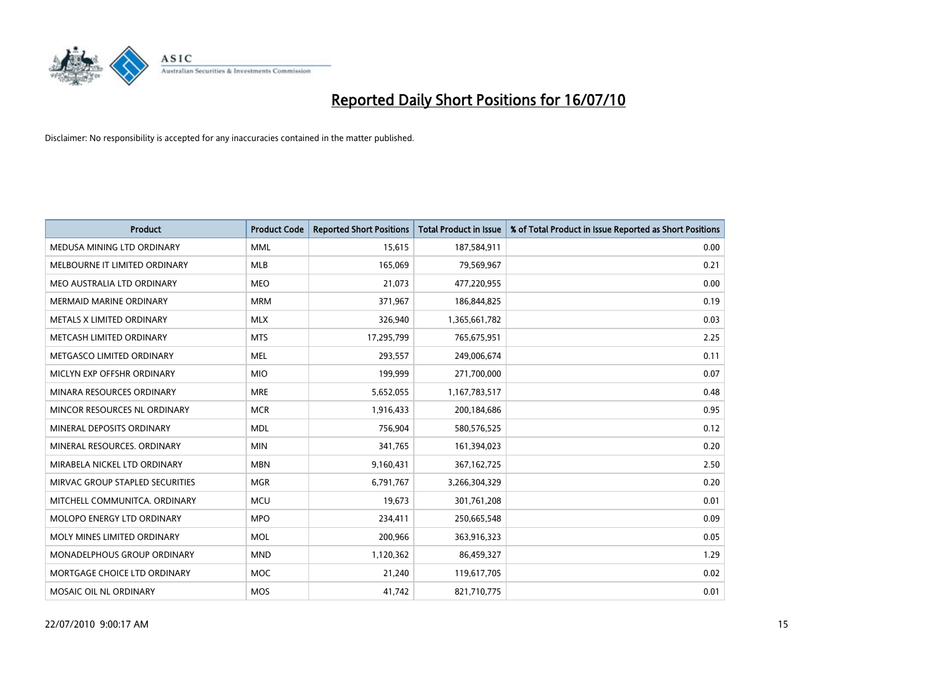

| <b>Product</b>                  | <b>Product Code</b> | <b>Reported Short Positions</b> | Total Product in Issue | % of Total Product in Issue Reported as Short Positions |
|---------------------------------|---------------------|---------------------------------|------------------------|---------------------------------------------------------|
| MEDUSA MINING LTD ORDINARY      | <b>MML</b>          | 15,615                          | 187,584,911            | 0.00                                                    |
| MELBOURNE IT LIMITED ORDINARY   | MLB                 | 165,069                         | 79,569,967             | 0.21                                                    |
| MEO AUSTRALIA LTD ORDINARY      | <b>MEO</b>          | 21,073                          | 477,220,955            | 0.00                                                    |
| MERMAID MARINE ORDINARY         | <b>MRM</b>          | 371,967                         | 186,844,825            | 0.19                                                    |
| METALS X LIMITED ORDINARY       | <b>MLX</b>          | 326,940                         | 1,365,661,782          | 0.03                                                    |
| METCASH LIMITED ORDINARY        | <b>MTS</b>          | 17,295,799                      | 765,675,951            | 2.25                                                    |
| METGASCO LIMITED ORDINARY       | <b>MEL</b>          | 293,557                         | 249,006,674            | 0.11                                                    |
| MICLYN EXP OFFSHR ORDINARY      | <b>MIO</b>          | 199,999                         | 271,700,000            | 0.07                                                    |
| MINARA RESOURCES ORDINARY       | <b>MRE</b>          | 5,652,055                       | 1,167,783,517          | 0.48                                                    |
| MINCOR RESOURCES NL ORDINARY    | <b>MCR</b>          | 1,916,433                       | 200,184,686            | 0.95                                                    |
| MINERAL DEPOSITS ORDINARY       | <b>MDL</b>          | 756,904                         | 580,576,525            | 0.12                                                    |
| MINERAL RESOURCES, ORDINARY     | <b>MIN</b>          | 341,765                         | 161,394,023            | 0.20                                                    |
| MIRABELA NICKEL LTD ORDINARY    | <b>MBN</b>          | 9,160,431                       | 367, 162, 725          | 2.50                                                    |
| MIRVAC GROUP STAPLED SECURITIES | <b>MGR</b>          | 6,791,767                       | 3,266,304,329          | 0.20                                                    |
| MITCHELL COMMUNITCA, ORDINARY   | <b>MCU</b>          | 19,673                          | 301,761,208            | 0.01                                                    |
| MOLOPO ENERGY LTD ORDINARY      | <b>MPO</b>          | 234,411                         | 250,665,548            | 0.09                                                    |
| MOLY MINES LIMITED ORDINARY     | <b>MOL</b>          | 200,966                         | 363,916,323            | 0.05                                                    |
| MONADELPHOUS GROUP ORDINARY     | <b>MND</b>          | 1,120,362                       | 86,459,327             | 1.29                                                    |
| MORTGAGE CHOICE LTD ORDINARY    | MOC                 | 21,240                          | 119,617,705            | 0.02                                                    |
| MOSAIC OIL NL ORDINARY          | <b>MOS</b>          | 41,742                          | 821,710,775            | 0.01                                                    |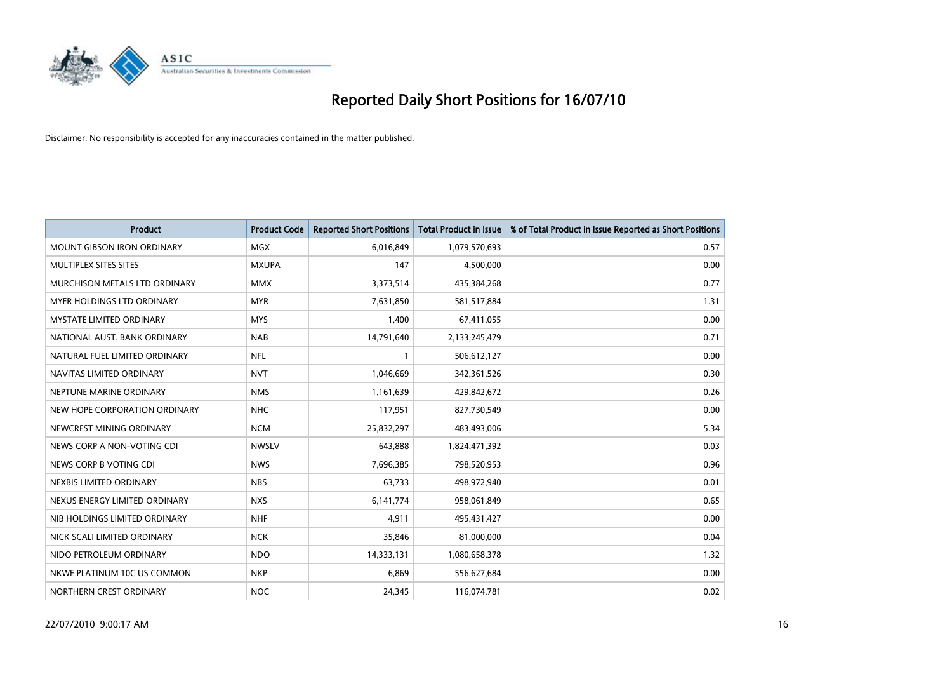

| <b>Product</b>                    | <b>Product Code</b> | <b>Reported Short Positions</b> | <b>Total Product in Issue</b> | % of Total Product in Issue Reported as Short Positions |
|-----------------------------------|---------------------|---------------------------------|-------------------------------|---------------------------------------------------------|
| <b>MOUNT GIBSON IRON ORDINARY</b> | <b>MGX</b>          | 6,016,849                       | 1,079,570,693                 | 0.57                                                    |
| MULTIPLEX SITES SITES             | <b>MXUPA</b>        | 147                             | 4,500,000                     | 0.00                                                    |
| MURCHISON METALS LTD ORDINARY     | <b>MMX</b>          | 3,373,514                       | 435,384,268                   | 0.77                                                    |
| MYER HOLDINGS LTD ORDINARY        | <b>MYR</b>          | 7,631,850                       | 581,517,884                   | 1.31                                                    |
| <b>MYSTATE LIMITED ORDINARY</b>   | <b>MYS</b>          | 1,400                           | 67,411,055                    | 0.00                                                    |
| NATIONAL AUST. BANK ORDINARY      | <b>NAB</b>          | 14,791,640                      | 2,133,245,479                 | 0.71                                                    |
| NATURAL FUEL LIMITED ORDINARY     | <b>NFL</b>          |                                 | 506,612,127                   | 0.00                                                    |
| NAVITAS LIMITED ORDINARY          | <b>NVT</b>          | 1,046,669                       | 342,361,526                   | 0.30                                                    |
| NEPTUNE MARINE ORDINARY           | <b>NMS</b>          | 1,161,639                       | 429,842,672                   | 0.26                                                    |
| NEW HOPE CORPORATION ORDINARY     | <b>NHC</b>          | 117,951                         | 827,730,549                   | 0.00                                                    |
| NEWCREST MINING ORDINARY          | <b>NCM</b>          | 25,832,297                      | 483,493,006                   | 5.34                                                    |
| NEWS CORP A NON-VOTING CDI        | <b>NWSLV</b>        | 643,888                         | 1,824,471,392                 | 0.03                                                    |
| NEWS CORP B VOTING CDI            | <b>NWS</b>          | 7,696,385                       | 798,520,953                   | 0.96                                                    |
| NEXBIS LIMITED ORDINARY           | <b>NBS</b>          | 63,733                          | 498,972,940                   | 0.01                                                    |
| NEXUS ENERGY LIMITED ORDINARY     | <b>NXS</b>          | 6,141,774                       | 958,061,849                   | 0.65                                                    |
| NIB HOLDINGS LIMITED ORDINARY     | <b>NHF</b>          | 4,911                           | 495,431,427                   | 0.00                                                    |
| NICK SCALI LIMITED ORDINARY       | <b>NCK</b>          | 35,846                          | 81,000,000                    | 0.04                                                    |
| NIDO PETROLEUM ORDINARY           | <b>NDO</b>          | 14,333,131                      | 1,080,658,378                 | 1.32                                                    |
| NKWE PLATINUM 10C US COMMON       | <b>NKP</b>          | 6,869                           | 556,627,684                   | 0.00                                                    |
| NORTHERN CREST ORDINARY           | <b>NOC</b>          | 24,345                          | 116,074,781                   | 0.02                                                    |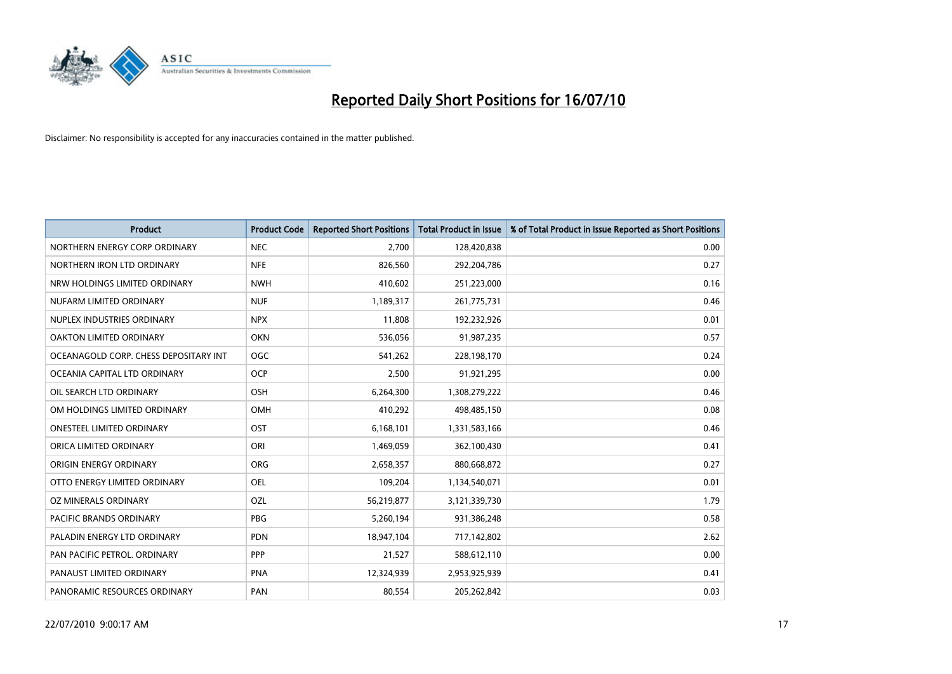

| <b>Product</b>                        | <b>Product Code</b> | <b>Reported Short Positions</b> | <b>Total Product in Issue</b> | % of Total Product in Issue Reported as Short Positions |
|---------------------------------------|---------------------|---------------------------------|-------------------------------|---------------------------------------------------------|
| NORTHERN ENERGY CORP ORDINARY         | <b>NEC</b>          | 2.700                           | 128,420,838                   | 0.00                                                    |
| NORTHERN IRON LTD ORDINARY            | <b>NFE</b>          | 826,560                         | 292,204,786                   | 0.27                                                    |
| NRW HOLDINGS LIMITED ORDINARY         | <b>NWH</b>          | 410,602                         | 251,223,000                   | 0.16                                                    |
| NUFARM LIMITED ORDINARY               | <b>NUF</b>          | 1,189,317                       | 261,775,731                   | 0.46                                                    |
| NUPLEX INDUSTRIES ORDINARY            | <b>NPX</b>          | 11,808                          | 192,232,926                   | 0.01                                                    |
| <b>OAKTON LIMITED ORDINARY</b>        | <b>OKN</b>          | 536,056                         | 91,987,235                    | 0.57                                                    |
| OCEANAGOLD CORP. CHESS DEPOSITARY INT | OGC                 | 541,262                         | 228,198,170                   | 0.24                                                    |
| OCEANIA CAPITAL LTD ORDINARY          | <b>OCP</b>          | 2,500                           | 91,921,295                    | 0.00                                                    |
| OIL SEARCH LTD ORDINARY               | OSH                 | 6,264,300                       | 1,308,279,222                 | 0.46                                                    |
| OM HOLDINGS LIMITED ORDINARY          | OMH                 | 410,292                         | 498,485,150                   | 0.08                                                    |
| ONESTEEL LIMITED ORDINARY             | <b>OST</b>          | 6,168,101                       | 1,331,583,166                 | 0.46                                                    |
| ORICA LIMITED ORDINARY                | ORI                 | 1,469,059                       | 362,100,430                   | 0.41                                                    |
| ORIGIN ENERGY ORDINARY                | <b>ORG</b>          | 2,658,357                       | 880,668,872                   | 0.27                                                    |
| OTTO ENERGY LIMITED ORDINARY          | <b>OEL</b>          | 109,204                         | 1,134,540,071                 | 0.01                                                    |
| OZ MINERALS ORDINARY                  | OZL                 | 56,219,877                      | 3,121,339,730                 | 1.79                                                    |
| <b>PACIFIC BRANDS ORDINARY</b>        | <b>PBG</b>          | 5,260,194                       | 931,386,248                   | 0.58                                                    |
| PALADIN ENERGY LTD ORDINARY           | <b>PDN</b>          | 18,947,104                      | 717,142,802                   | 2.62                                                    |
| PAN PACIFIC PETROL. ORDINARY          | PPP                 | 21,527                          | 588,612,110                   | 0.00                                                    |
| PANAUST LIMITED ORDINARY              | <b>PNA</b>          | 12,324,939                      | 2,953,925,939                 | 0.41                                                    |
| PANORAMIC RESOURCES ORDINARY          | PAN                 | 80,554                          | 205,262,842                   | 0.03                                                    |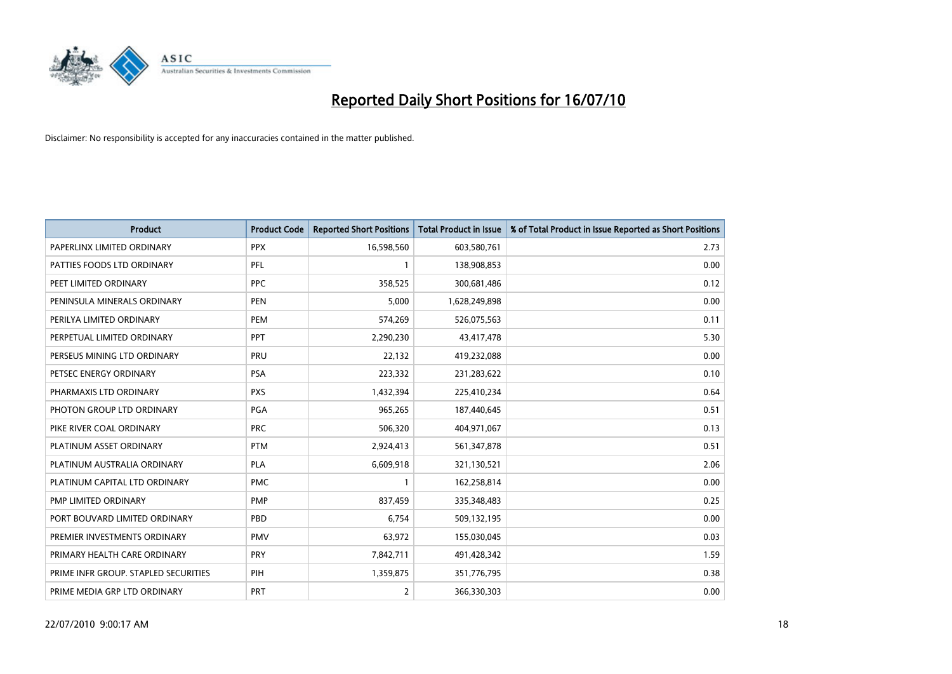

| <b>Product</b>                       | <b>Product Code</b> | <b>Reported Short Positions</b> | Total Product in Issue | % of Total Product in Issue Reported as Short Positions |
|--------------------------------------|---------------------|---------------------------------|------------------------|---------------------------------------------------------|
| PAPERLINX LIMITED ORDINARY           | <b>PPX</b>          | 16,598,560                      | 603,580,761            | 2.73                                                    |
| PATTIES FOODS LTD ORDINARY           | <b>PFL</b>          |                                 | 138,908,853            | 0.00                                                    |
| PEET LIMITED ORDINARY                | <b>PPC</b>          | 358,525                         | 300,681,486            | 0.12                                                    |
| PENINSULA MINERALS ORDINARY          | <b>PEN</b>          | 5,000                           | 1,628,249,898          | 0.00                                                    |
| PERILYA LIMITED ORDINARY             | PEM                 | 574,269                         | 526,075,563            | 0.11                                                    |
| PERPETUAL LIMITED ORDINARY           | PPT                 | 2,290,230                       | 43,417,478             | 5.30                                                    |
| PERSEUS MINING LTD ORDINARY          | PRU                 | 22,132                          | 419,232,088            | 0.00                                                    |
| PETSEC ENERGY ORDINARY               | <b>PSA</b>          | 223,332                         | 231,283,622            | 0.10                                                    |
| PHARMAXIS LTD ORDINARY               | <b>PXS</b>          | 1,432,394                       | 225,410,234            | 0.64                                                    |
| PHOTON GROUP LTD ORDINARY            | PGA                 | 965,265                         | 187,440,645            | 0.51                                                    |
| PIKE RIVER COAL ORDINARY             | <b>PRC</b>          | 506,320                         | 404,971,067            | 0.13                                                    |
| PLATINUM ASSET ORDINARY              | <b>PTM</b>          | 2,924,413                       | 561,347,878            | 0.51                                                    |
| PLATINUM AUSTRALIA ORDINARY          | PLA                 | 6,609,918                       | 321,130,521            | 2.06                                                    |
| PLATINUM CAPITAL LTD ORDINARY        | <b>PMC</b>          |                                 | 162,258,814            | 0.00                                                    |
| PMP LIMITED ORDINARY                 | <b>PMP</b>          | 837,459                         | 335,348,483            | 0.25                                                    |
| PORT BOUVARD LIMITED ORDINARY        | PBD                 | 6,754                           | 509,132,195            | 0.00                                                    |
| PREMIER INVESTMENTS ORDINARY         | <b>PMV</b>          | 63,972                          | 155,030,045            | 0.03                                                    |
| PRIMARY HEALTH CARE ORDINARY         | <b>PRY</b>          | 7,842,711                       | 491,428,342            | 1.59                                                    |
| PRIME INFR GROUP. STAPLED SECURITIES | PIH                 | 1,359,875                       | 351,776,795            | 0.38                                                    |
| PRIME MEDIA GRP LTD ORDINARY         | <b>PRT</b>          | $\overline{2}$                  | 366,330,303            | 0.00                                                    |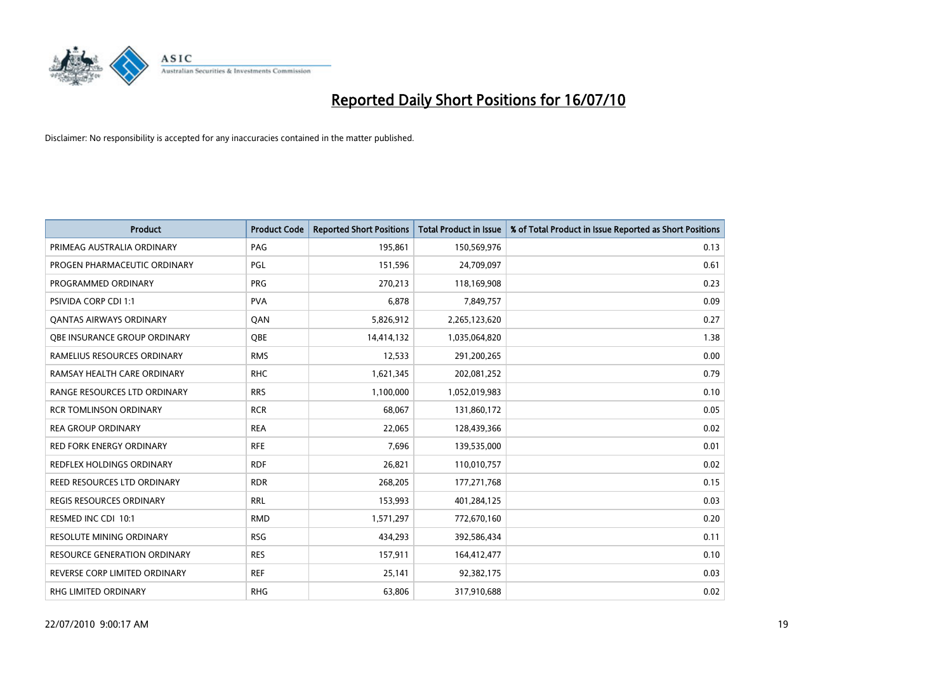

| <b>Product</b>                  | <b>Product Code</b> | <b>Reported Short Positions</b> | Total Product in Issue | % of Total Product in Issue Reported as Short Positions |
|---------------------------------|---------------------|---------------------------------|------------------------|---------------------------------------------------------|
| PRIMEAG AUSTRALIA ORDINARY      | PAG                 | 195,861                         | 150,569,976            | 0.13                                                    |
| PROGEN PHARMACEUTIC ORDINARY    | PGL                 | 151,596                         | 24,709,097             | 0.61                                                    |
| PROGRAMMED ORDINARY             | <b>PRG</b>          | 270,213                         | 118,169,908            | 0.23                                                    |
| PSIVIDA CORP CDI 1:1            | <b>PVA</b>          | 6,878                           | 7,849,757              | 0.09                                                    |
| <b>QANTAS AIRWAYS ORDINARY</b>  | QAN                 | 5,826,912                       | 2,265,123,620          | 0.27                                                    |
| OBE INSURANCE GROUP ORDINARY    | <b>OBE</b>          | 14,414,132                      | 1,035,064,820          | 1.38                                                    |
| RAMELIUS RESOURCES ORDINARY     | <b>RMS</b>          | 12,533                          | 291,200,265            | 0.00                                                    |
| RAMSAY HEALTH CARE ORDINARY     | <b>RHC</b>          | 1,621,345                       | 202,081,252            | 0.79                                                    |
| RANGE RESOURCES LTD ORDINARY    | <b>RRS</b>          | 1,100,000                       | 1,052,019,983          | 0.10                                                    |
| <b>RCR TOMLINSON ORDINARY</b>   | <b>RCR</b>          | 68,067                          | 131,860,172            | 0.05                                                    |
| <b>REA GROUP ORDINARY</b>       | <b>REA</b>          | 22,065                          | 128,439,366            | 0.02                                                    |
| <b>RED FORK ENERGY ORDINARY</b> | <b>RFE</b>          | 7,696                           | 139,535,000            | 0.01                                                    |
| REDFLEX HOLDINGS ORDINARY       | <b>RDF</b>          | 26,821                          | 110,010,757            | 0.02                                                    |
| REED RESOURCES LTD ORDINARY     | <b>RDR</b>          | 268,205                         | 177,271,768            | 0.15                                                    |
| <b>REGIS RESOURCES ORDINARY</b> | <b>RRL</b>          | 153,993                         | 401,284,125            | 0.03                                                    |
| RESMED INC CDI 10:1             | <b>RMD</b>          | 1,571,297                       | 772,670,160            | 0.20                                                    |
| RESOLUTE MINING ORDINARY        | <b>RSG</b>          | 434,293                         | 392,586,434            | 0.11                                                    |
| RESOURCE GENERATION ORDINARY    | <b>RES</b>          | 157,911                         | 164,412,477            | 0.10                                                    |
| REVERSE CORP LIMITED ORDINARY   | <b>REF</b>          | 25,141                          | 92,382,175             | 0.03                                                    |
| RHG LIMITED ORDINARY            | <b>RHG</b>          | 63,806                          | 317,910,688            | 0.02                                                    |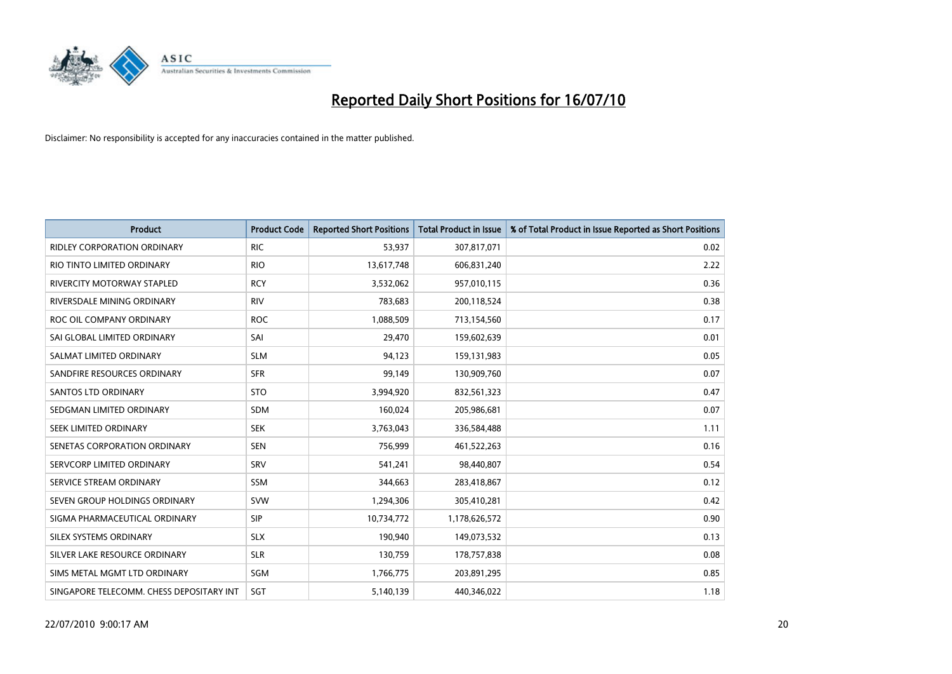

| <b>Product</b>                           | <b>Product Code</b> | <b>Reported Short Positions</b> | <b>Total Product in Issue</b> | % of Total Product in Issue Reported as Short Positions |
|------------------------------------------|---------------------|---------------------------------|-------------------------------|---------------------------------------------------------|
| <b>RIDLEY CORPORATION ORDINARY</b>       | <b>RIC</b>          | 53,937                          | 307,817,071                   | 0.02                                                    |
| RIO TINTO LIMITED ORDINARY               | <b>RIO</b>          | 13,617,748                      | 606,831,240                   | 2.22                                                    |
| RIVERCITY MOTORWAY STAPLED               | <b>RCY</b>          | 3,532,062                       | 957,010,115                   | 0.36                                                    |
| RIVERSDALE MINING ORDINARY               | <b>RIV</b>          | 783,683                         | 200,118,524                   | 0.38                                                    |
| ROC OIL COMPANY ORDINARY                 | <b>ROC</b>          | 1,088,509                       | 713,154,560                   | 0.17                                                    |
| SAI GLOBAL LIMITED ORDINARY              | SAI                 | 29,470                          | 159,602,639                   | 0.01                                                    |
| SALMAT LIMITED ORDINARY                  | <b>SLM</b>          | 94,123                          | 159,131,983                   | 0.05                                                    |
| SANDFIRE RESOURCES ORDINARY              | <b>SFR</b>          | 99,149                          | 130,909,760                   | 0.07                                                    |
| SANTOS LTD ORDINARY                      | <b>STO</b>          | 3,994,920                       | 832,561,323                   | 0.47                                                    |
| SEDGMAN LIMITED ORDINARY                 | <b>SDM</b>          | 160,024                         | 205,986,681                   | 0.07                                                    |
| SEEK LIMITED ORDINARY                    | <b>SEK</b>          | 3,763,043                       | 336,584,488                   | 1.11                                                    |
| SENETAS CORPORATION ORDINARY             | <b>SEN</b>          | 756,999                         | 461,522,263                   | 0.16                                                    |
| SERVCORP LIMITED ORDINARY                | SRV                 | 541,241                         | 98,440,807                    | 0.54                                                    |
| SERVICE STREAM ORDINARY                  | <b>SSM</b>          | 344,663                         | 283,418,867                   | 0.12                                                    |
| SEVEN GROUP HOLDINGS ORDINARY            | <b>SVW</b>          | 1,294,306                       | 305,410,281                   | 0.42                                                    |
| SIGMA PHARMACEUTICAL ORDINARY            | <b>SIP</b>          | 10,734,772                      | 1,178,626,572                 | 0.90                                                    |
| SILEX SYSTEMS ORDINARY                   | <b>SLX</b>          | 190,940                         | 149,073,532                   | 0.13                                                    |
| SILVER LAKE RESOURCE ORDINARY            | <b>SLR</b>          | 130,759                         | 178,757,838                   | 0.08                                                    |
| SIMS METAL MGMT LTD ORDINARY             | SGM                 | 1,766,775                       | 203,891,295                   | 0.85                                                    |
| SINGAPORE TELECOMM. CHESS DEPOSITARY INT | SGT                 | 5,140,139                       | 440.346.022                   | 1.18                                                    |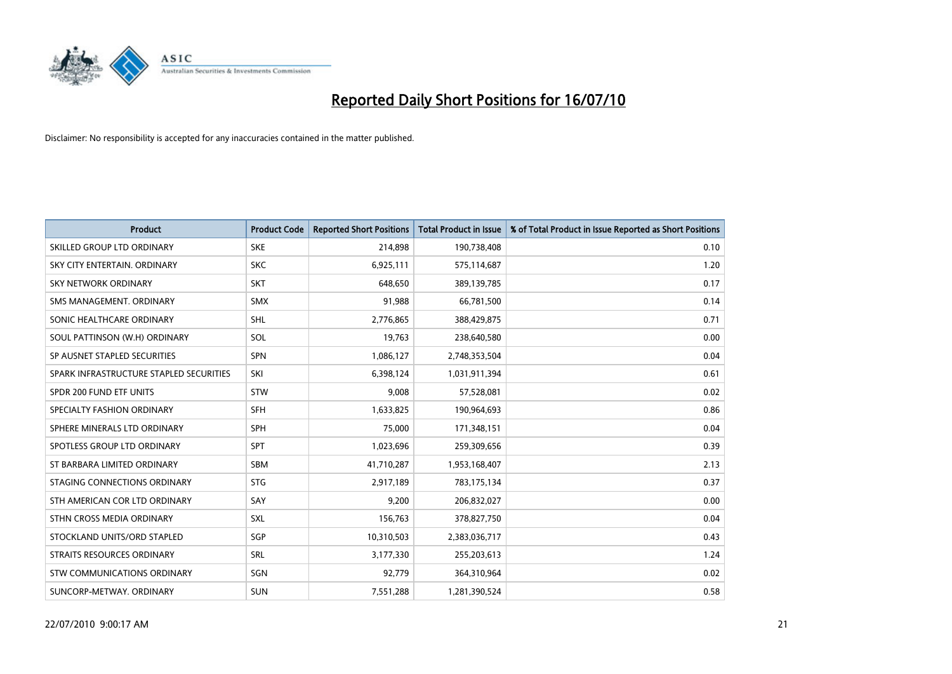

| <b>Product</b>                          | <b>Product Code</b> | <b>Reported Short Positions</b> | <b>Total Product in Issue</b> | % of Total Product in Issue Reported as Short Positions |
|-----------------------------------------|---------------------|---------------------------------|-------------------------------|---------------------------------------------------------|
| SKILLED GROUP LTD ORDINARY              | <b>SKE</b>          | 214,898                         | 190,738,408                   | 0.10                                                    |
| SKY CITY ENTERTAIN. ORDINARY            | <b>SKC</b>          | 6,925,111                       | 575,114,687                   | 1.20                                                    |
| SKY NETWORK ORDINARY                    | <b>SKT</b>          | 648.650                         | 389,139,785                   | 0.17                                                    |
| SMS MANAGEMENT, ORDINARY                | <b>SMX</b>          | 91,988                          | 66,781,500                    | 0.14                                                    |
| SONIC HEALTHCARE ORDINARY               | <b>SHL</b>          | 2,776,865                       | 388,429,875                   | 0.71                                                    |
| SOUL PATTINSON (W.H) ORDINARY           | SOL                 | 19,763                          | 238,640,580                   | 0.00                                                    |
| SP AUSNET STAPLED SECURITIES            | SPN                 | 1,086,127                       | 2,748,353,504                 | 0.04                                                    |
| SPARK INFRASTRUCTURE STAPLED SECURITIES | SKI                 | 6,398,124                       | 1,031,911,394                 | 0.61                                                    |
| SPDR 200 FUND ETF UNITS                 | <b>STW</b>          | 9,008                           | 57,528,081                    | 0.02                                                    |
| SPECIALTY FASHION ORDINARY              | <b>SFH</b>          | 1,633,825                       | 190,964,693                   | 0.86                                                    |
| SPHERE MINERALS LTD ORDINARY            | <b>SPH</b>          | 75,000                          | 171,348,151                   | 0.04                                                    |
| SPOTLESS GROUP LTD ORDINARY             | SPT                 | 1,023,696                       | 259,309,656                   | 0.39                                                    |
| ST BARBARA LIMITED ORDINARY             | SBM                 | 41,710,287                      | 1,953,168,407                 | 2.13                                                    |
| STAGING CONNECTIONS ORDINARY            | <b>STG</b>          | 2,917,189                       | 783,175,134                   | 0.37                                                    |
| STH AMERICAN COR LTD ORDINARY           | SAY                 | 9,200                           | 206,832,027                   | 0.00                                                    |
| STHN CROSS MEDIA ORDINARY               | SXL                 | 156,763                         | 378,827,750                   | 0.04                                                    |
| STOCKLAND UNITS/ORD STAPLED             | SGP                 | 10,310,503                      | 2,383,036,717                 | 0.43                                                    |
| STRAITS RESOURCES ORDINARY              | SRL                 | 3,177,330                       | 255,203,613                   | 1.24                                                    |
| STW COMMUNICATIONS ORDINARY             | SGN                 | 92,779                          | 364,310,964                   | 0.02                                                    |
| SUNCORP-METWAY, ORDINARY                | <b>SUN</b>          | 7,551,288                       | 1,281,390,524                 | 0.58                                                    |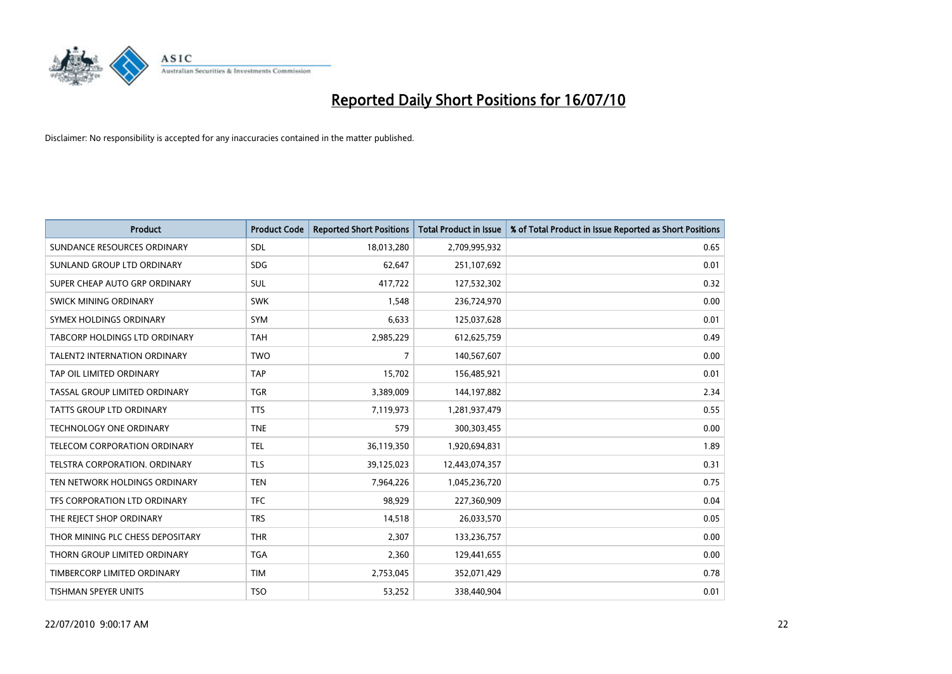

| <b>Product</b>                       | <b>Product Code</b> | <b>Reported Short Positions</b> | <b>Total Product in Issue</b> | % of Total Product in Issue Reported as Short Positions |
|--------------------------------------|---------------------|---------------------------------|-------------------------------|---------------------------------------------------------|
| SUNDANCE RESOURCES ORDINARY          | <b>SDL</b>          | 18,013,280                      | 2,709,995,932                 | 0.65                                                    |
| SUNLAND GROUP LTD ORDINARY           | <b>SDG</b>          | 62,647                          | 251,107,692                   | 0.01                                                    |
| SUPER CHEAP AUTO GRP ORDINARY        | SUL                 | 417,722                         | 127,532,302                   | 0.32                                                    |
| SWICK MINING ORDINARY                | <b>SWK</b>          | 1,548                           | 236,724,970                   | 0.00                                                    |
| SYMEX HOLDINGS ORDINARY              | SYM                 | 6,633                           | 125,037,628                   | 0.01                                                    |
| <b>TABCORP HOLDINGS LTD ORDINARY</b> | <b>TAH</b>          | 2,985,229                       | 612,625,759                   | 0.49                                                    |
| <b>TALENT2 INTERNATION ORDINARY</b>  | <b>TWO</b>          | 7                               | 140,567,607                   | 0.00                                                    |
| TAP OIL LIMITED ORDINARY             | <b>TAP</b>          | 15,702                          | 156,485,921                   | 0.01                                                    |
| TASSAL GROUP LIMITED ORDINARY        | <b>TGR</b>          | 3,389,009                       | 144,197,882                   | 2.34                                                    |
| <b>TATTS GROUP LTD ORDINARY</b>      | <b>TTS</b>          | 7,119,973                       | 1,281,937,479                 | 0.55                                                    |
| TECHNOLOGY ONE ORDINARY              | <b>TNE</b>          | 579                             | 300,303,455                   | 0.00                                                    |
| TELECOM CORPORATION ORDINARY         | <b>TEL</b>          | 36,119,350                      | 1,920,694,831                 | 1.89                                                    |
| TELSTRA CORPORATION. ORDINARY        | <b>TLS</b>          | 39,125,023                      | 12,443,074,357                | 0.31                                                    |
| TEN NETWORK HOLDINGS ORDINARY        | <b>TEN</b>          | 7,964,226                       | 1,045,236,720                 | 0.75                                                    |
| TFS CORPORATION LTD ORDINARY         | <b>TFC</b>          | 98,929                          | 227,360,909                   | 0.04                                                    |
| THE REJECT SHOP ORDINARY             | <b>TRS</b>          | 14,518                          | 26,033,570                    | 0.05                                                    |
| THOR MINING PLC CHESS DEPOSITARY     | <b>THR</b>          | 2,307                           | 133,236,757                   | 0.00                                                    |
| THORN GROUP LIMITED ORDINARY         | <b>TGA</b>          | 2,360                           | 129,441,655                   | 0.00                                                    |
| TIMBERCORP LIMITED ORDINARY          | <b>TIM</b>          | 2,753,045                       | 352,071,429                   | 0.78                                                    |
| <b>TISHMAN SPEYER UNITS</b>          | <b>TSO</b>          | 53,252                          | 338,440,904                   | 0.01                                                    |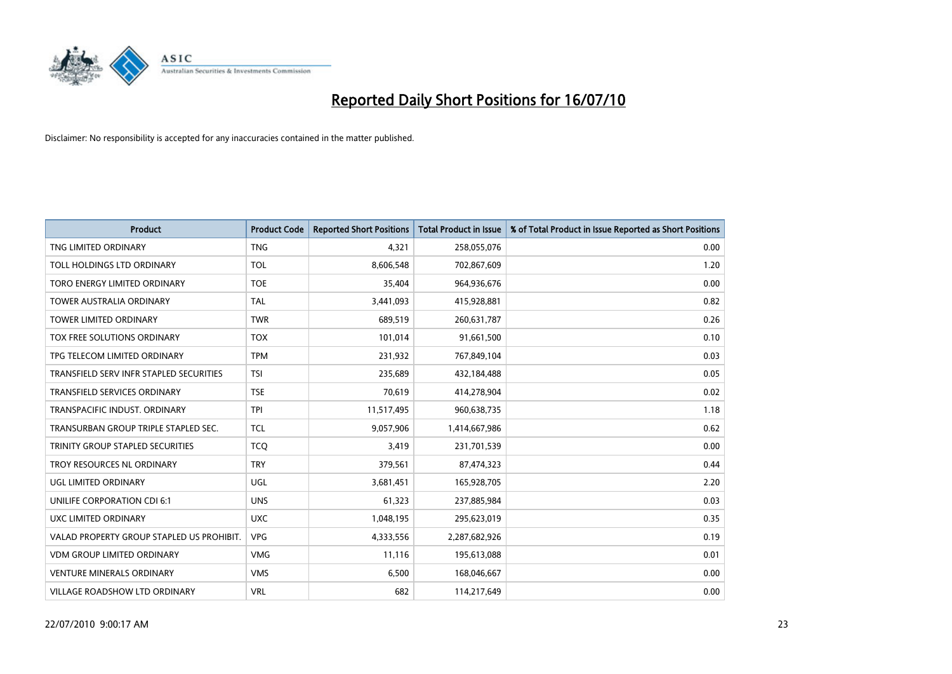

| <b>Product</b>                            | <b>Product Code</b> | <b>Reported Short Positions</b> | Total Product in Issue | % of Total Product in Issue Reported as Short Positions |
|-------------------------------------------|---------------------|---------------------------------|------------------------|---------------------------------------------------------|
| TNG LIMITED ORDINARY                      | <b>TNG</b>          | 4,321                           | 258,055,076            | 0.00                                                    |
| TOLL HOLDINGS LTD ORDINARY                | <b>TOL</b>          | 8,606,548                       | 702,867,609            | 1.20                                                    |
| TORO ENERGY LIMITED ORDINARY              | <b>TOE</b>          | 35,404                          | 964,936,676            | 0.00                                                    |
| TOWER AUSTRALIA ORDINARY                  | <b>TAL</b>          | 3,441,093                       | 415,928,881            | 0.82                                                    |
| <b>TOWER LIMITED ORDINARY</b>             | <b>TWR</b>          | 689,519                         | 260,631,787            | 0.26                                                    |
| TOX FREE SOLUTIONS ORDINARY               | <b>TOX</b>          | 101,014                         | 91,661,500             | 0.10                                                    |
| TPG TELECOM LIMITED ORDINARY              | <b>TPM</b>          | 231,932                         | 767,849,104            | 0.03                                                    |
| TRANSFIELD SERV INFR STAPLED SECURITIES   | <b>TSI</b>          | 235,689                         | 432,184,488            | 0.05                                                    |
| <b>TRANSFIELD SERVICES ORDINARY</b>       | <b>TSE</b>          | 70,619                          | 414,278,904            | 0.02                                                    |
| TRANSPACIFIC INDUST, ORDINARY             | <b>TPI</b>          | 11,517,495                      | 960,638,735            | 1.18                                                    |
| TRANSURBAN GROUP TRIPLE STAPLED SEC.      | <b>TCL</b>          | 9,057,906                       | 1,414,667,986          | 0.62                                                    |
| TRINITY GROUP STAPLED SECURITIES          | <b>TCO</b>          | 3,419                           | 231,701,539            | 0.00                                                    |
| TROY RESOURCES NL ORDINARY                | <b>TRY</b>          | 379,561                         | 87,474,323             | 0.44                                                    |
| <b>UGL LIMITED ORDINARY</b>               | UGL                 | 3,681,451                       | 165,928,705            | 2.20                                                    |
| UNILIFE CORPORATION CDI 6:1               | <b>UNS</b>          | 61,323                          | 237,885,984            | 0.03                                                    |
| UXC LIMITED ORDINARY                      | <b>UXC</b>          | 1,048,195                       | 295,623,019            | 0.35                                                    |
| VALAD PROPERTY GROUP STAPLED US PROHIBIT. | <b>VPG</b>          | 4,333,556                       | 2,287,682,926          | 0.19                                                    |
| <b>VDM GROUP LIMITED ORDINARY</b>         | <b>VMG</b>          | 11,116                          | 195,613,088            | 0.01                                                    |
| <b>VENTURE MINERALS ORDINARY</b>          | <b>VMS</b>          | 6,500                           | 168,046,667            | 0.00                                                    |
| VILLAGE ROADSHOW LTD ORDINARY             | <b>VRL</b>          | 682                             | 114,217,649            | 0.00                                                    |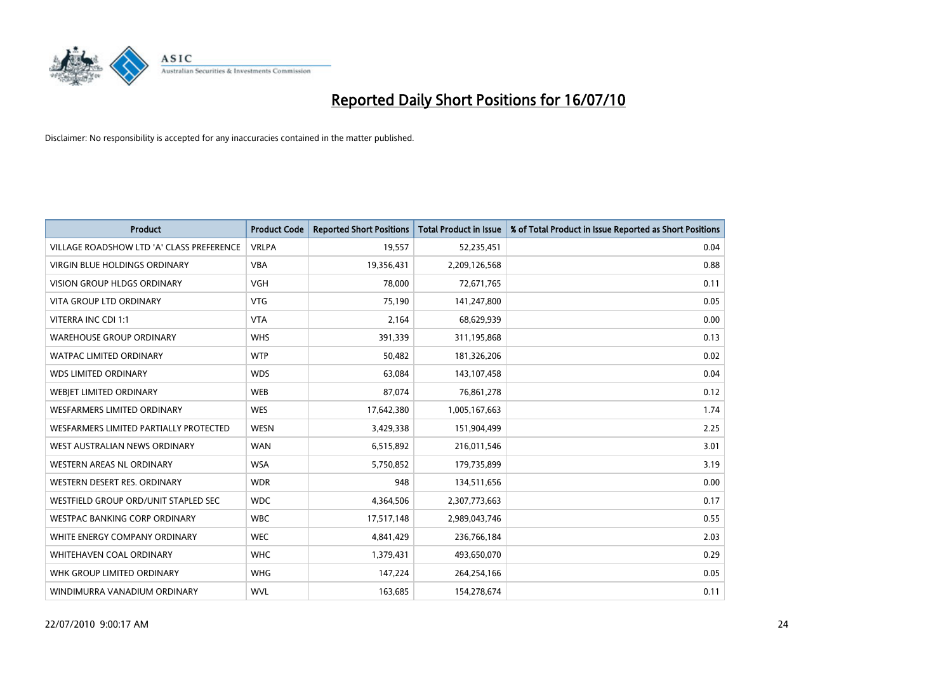

| <b>Product</b>                            | <b>Product Code</b> | <b>Reported Short Positions</b> | <b>Total Product in Issue</b> | % of Total Product in Issue Reported as Short Positions |
|-------------------------------------------|---------------------|---------------------------------|-------------------------------|---------------------------------------------------------|
| VILLAGE ROADSHOW LTD 'A' CLASS PREFERENCE | <b>VRLPA</b>        | 19,557                          | 52,235,451                    | 0.04                                                    |
| VIRGIN BLUE HOLDINGS ORDINARY             | <b>VBA</b>          | 19,356,431                      | 2,209,126,568                 | 0.88                                                    |
| <b>VISION GROUP HLDGS ORDINARY</b>        | <b>VGH</b>          | 78,000                          | 72,671,765                    | 0.11                                                    |
| <b>VITA GROUP LTD ORDINARY</b>            | <b>VTG</b>          | 75,190                          | 141,247,800                   | 0.05                                                    |
| VITERRA INC CDI 1:1                       | <b>VTA</b>          | 2,164                           | 68,629,939                    | 0.00                                                    |
| <b>WAREHOUSE GROUP ORDINARY</b>           | <b>WHS</b>          | 391,339                         | 311,195,868                   | 0.13                                                    |
| <b>WATPAC LIMITED ORDINARY</b>            | <b>WTP</b>          | 50,482                          | 181,326,206                   | 0.02                                                    |
| <b>WDS LIMITED ORDINARY</b>               | <b>WDS</b>          | 63,084                          | 143,107,458                   | 0.04                                                    |
| WEBJET LIMITED ORDINARY                   | <b>WEB</b>          | 87,074                          | 76,861,278                    | 0.12                                                    |
| <b>WESFARMERS LIMITED ORDINARY</b>        | <b>WES</b>          | 17,642,380                      | 1,005,167,663                 | 1.74                                                    |
| WESFARMERS LIMITED PARTIALLY PROTECTED    | <b>WESN</b>         | 3,429,338                       | 151,904,499                   | 2.25                                                    |
| WEST AUSTRALIAN NEWS ORDINARY             | <b>WAN</b>          | 6,515,892                       | 216,011,546                   | 3.01                                                    |
| WESTERN AREAS NL ORDINARY                 | <b>WSA</b>          | 5,750,852                       | 179,735,899                   | 3.19                                                    |
| WESTERN DESERT RES. ORDINARY              | <b>WDR</b>          | 948                             | 134,511,656                   | 0.00                                                    |
| WESTFIELD GROUP ORD/UNIT STAPLED SEC      | <b>WDC</b>          | 4,364,506                       | 2,307,773,663                 | 0.17                                                    |
| <b>WESTPAC BANKING CORP ORDINARY</b>      | <b>WBC</b>          | 17,517,148                      | 2,989,043,746                 | 0.55                                                    |
| WHITE ENERGY COMPANY ORDINARY             | <b>WEC</b>          | 4,841,429                       | 236,766,184                   | 2.03                                                    |
| WHITEHAVEN COAL ORDINARY                  | <b>WHC</b>          | 1,379,431                       | 493,650,070                   | 0.29                                                    |
| WHK GROUP LIMITED ORDINARY                | <b>WHG</b>          | 147,224                         | 264,254,166                   | 0.05                                                    |
| WINDIMURRA VANADIUM ORDINARY              | <b>WVL</b>          | 163,685                         | 154,278,674                   | 0.11                                                    |